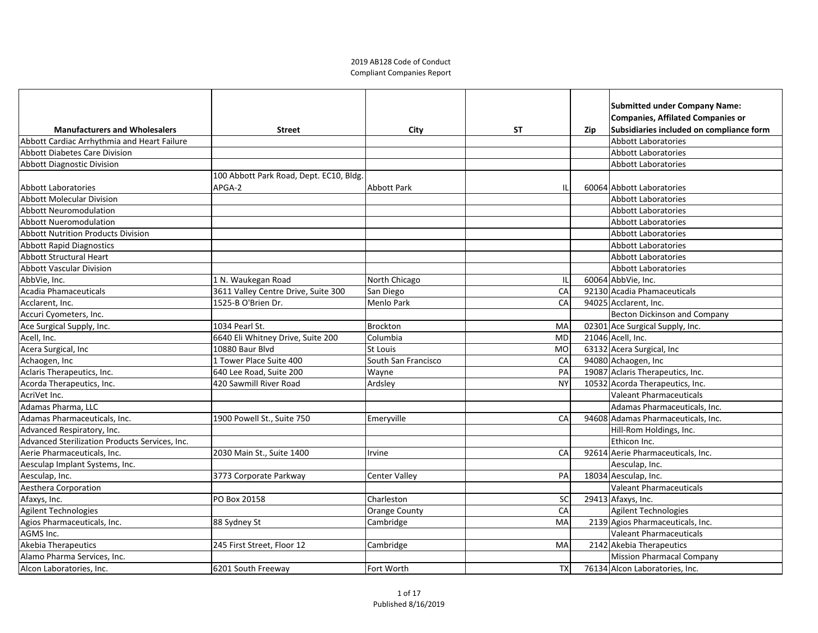## 2019 AB128 Code of Conduct Compliant Companies Report

|                                                |                                         |                     |           |     | <b>Submitted under Company Name:</b>     |
|------------------------------------------------|-----------------------------------------|---------------------|-----------|-----|------------------------------------------|
|                                                |                                         |                     |           |     | Companies, Affilated Companies or        |
| <b>Manufacturers and Wholesalers</b>           | <b>Street</b>                           | <b>City</b>         | <b>ST</b> | Zip | Subsidiaries included on compliance form |
| Abbott Cardiac Arrhythmia and Heart Failure    |                                         |                     |           |     | <b>Abbott Laboratories</b>               |
| <b>Abbott Diabetes Care Division</b>           |                                         |                     |           |     | <b>Abbott Laboratories</b>               |
| Abbott Diagnostic Division                     |                                         |                     |           |     | <b>Abbott Laboratories</b>               |
|                                                | 100 Abbott Park Road, Dept. EC10, Bldg. |                     |           |     |                                          |
| Abbott Laboratories                            | APGA-2                                  | Abbott Park         | IL        |     | 60064 Abbott Laboratories                |
| <b>Abbott Molecular Division</b>               |                                         |                     |           |     | <b>Abbott Laboratories</b>               |
| <b>Abbott Neuromodulation</b>                  |                                         |                     |           |     | <b>Abbott Laboratories</b>               |
| <b>Abbott Nueromodulation</b>                  |                                         |                     |           |     | <b>Abbott Laboratories</b>               |
| <b>Abbott Nutrition Products Division</b>      |                                         |                     |           |     | <b>Abbott Laboratories</b>               |
| <b>Abbott Rapid Diagnostics</b>                |                                         |                     |           |     | <b>Abbott Laboratories</b>               |
| <b>Abbott Structural Heart</b>                 |                                         |                     |           |     | <b>Abbott Laboratories</b>               |
| <b>Abbott Vascular Division</b>                |                                         |                     |           |     | <b>Abbott Laboratories</b>               |
| AbbVie, Inc.                                   | 1 N. Waukegan Road                      | North Chicago       | IL        |     | 60064 AbbVie, Inc.                       |
| Acadia Phamaceuticals                          | 3611 Valley Centre Drive, Suite 300     | San Diego           | CA        |     | 92130 Acadia Phamaceuticals              |
| Acclarent, Inc.                                | 1525-B O'Brien Dr.                      | Menlo Park          | CA        |     | 94025 Acclarent, Inc.                    |
| Accuri Cyometers, Inc.                         |                                         |                     |           |     | Becton Dickinson and Company             |
| Ace Surgical Supply, Inc.                      | 1034 Pearl St.                          | Brockton            | MA        |     | 02301 Ace Surgical Supply, Inc.          |
| Acell, Inc.                                    | 6640 Eli Whitney Drive, Suite 200       | Columbia            | <b>MD</b> |     | 21046 Acell, Inc.                        |
| Acera Surgical, Inc                            | 10880 Baur Blvd                         | St Louis            | <b>MO</b> |     | 63132 Acera Surgical, Inc                |
| Achaogen, Inc                                  | 1 Tower Place Suite 400                 | South San Francisco | CA        |     | 94080 Achaogen, Inc                      |
| Aclaris Therapeutics, Inc.                     | 640 Lee Road, Suite 200                 | Wayne               | PA        |     | 19087 Aclaris Therapeutics, Inc.         |
| Acorda Therapeutics, Inc.                      | 420 Sawmill River Road                  | Ardsley             | <b>NY</b> |     | 10532 Acorda Therapeutics, Inc.          |
| AcriVet Inc.                                   |                                         |                     |           |     | <b>Valeant Pharmaceuticals</b>           |
| Adamas Pharma, LLC                             |                                         |                     |           |     | Adamas Pharmaceuticals, Inc.             |
| Adamas Pharmaceuticals, Inc.                   | 1900 Powell St., Suite 750              | <b>Emeryville</b>   | CA        |     | 94608 Adamas Pharmaceuticals, Inc.       |
| Advanced Respiratory, Inc.                     |                                         |                     |           |     | Hill-Rom Holdings, Inc.                  |
| Advanced Sterilization Products Services, Inc. |                                         |                     |           |     | Ethicon Inc.                             |
| Aerie Pharmaceuticals, Inc.                    | 2030 Main St., Suite 1400               | Irvine              | CA        |     | 92614 Aerie Pharmaceuticals, Inc.        |
| Aesculap Implant Systems, Inc.                 |                                         |                     |           |     | Aesculap, Inc.                           |
| Aesculap, Inc.                                 | 3773 Corporate Parkway                  | Center Valley       | PA        |     | 18034 Aesculap, Inc.                     |
| <b>Aesthera Corporation</b>                    |                                         |                     |           |     | <b>Valeant Pharmaceuticals</b>           |
| Afaxys, Inc.                                   | PO Box 20158                            | Charleston          | <b>SC</b> |     | $29413$ Afaxys, Inc.                     |
| Agilent Technologies                           |                                         | Orange County       | CA        |     | <b>Agilent Technologies</b>              |
| Agios Pharmaceuticals, Inc.                    | 88 Sydney St                            | Cambridge           | MA        |     | 2139 Agios Pharmaceuticals, Inc.         |
| AGMS Inc.                                      |                                         |                     |           |     | Valeant Pharmaceuticals                  |
| Akebia Therapeutics                            | 245 First Street, Floor 12              | Cambridge           | MA        |     | 2142 Akebia Therapeutics                 |
| Alamo Pharma Services, Inc.                    |                                         |                     |           |     | Mission Pharmacal Company                |
| Alcon Laboratories, Inc.                       | 6201 South Freeway                      | Fort Worth          | <b>TX</b> |     | 76134 Alcon Laboratories, Inc.           |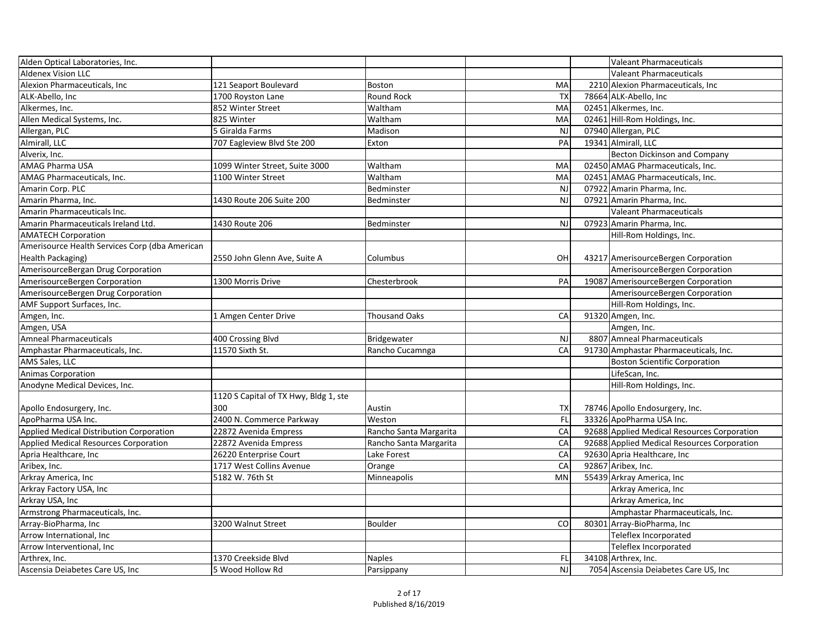| Alden Optical Laboratories, Inc.               |                                       |                        |           |       | <b>Valeant Pharmaceuticals</b>              |
|------------------------------------------------|---------------------------------------|------------------------|-----------|-------|---------------------------------------------|
| <b>Aldenex Vision LLC</b>                      |                                       |                        |           |       | <b>Valeant Pharmaceuticals</b>              |
| Alexion Pharmaceuticals, Inc                   | 121 Seaport Boulevard                 | <b>Boston</b>          | MA        |       | 2210 Alexion Pharmaceuticals, Inc           |
| ALK-Abello, Inc                                | 1700 Royston Lane                     | <b>Round Rock</b>      | <b>TX</b> |       | 78664 ALK-Abello, Inc                       |
| Alkermes, Inc.                                 | 852 Winter Street                     | Waltham                | MA        |       | 02451 Alkermes, Inc.                        |
| Allen Medical Systems, Inc.                    | 825 Winter                            | Waltham                | MA        |       | 02461 Hill-Rom Holdings, Inc.               |
| Allergan, PLC                                  | 5 Giralda Farms                       | Madison                | <b>NJ</b> |       | 07940 Allergan, PLC                         |
| Almirall, LLC                                  | 707 Eagleview Blvd Ste 200            | Exton                  | PA        |       | 19341 Almirall, LLC                         |
| Alverix, Inc.                                  |                                       |                        |           |       | <b>Becton Dickinson and Company</b>         |
| <b>AMAG Pharma USA</b>                         | 1099 Winter Street, Suite 3000        | Waltham                | MA        |       | 02450 AMAG Pharmaceuticals, Inc.            |
| AMAG Pharmaceuticals, Inc.                     | 1100 Winter Street                    | Waltham                | MA        |       | 02451 AMAG Pharmaceuticals, Inc.            |
| Amarin Corp. PLC                               |                                       | Bedminster             | <b>NJ</b> |       | 07922 Amarin Pharma, Inc.                   |
| Amarin Pharma, Inc.                            | 1430 Route 206 Suite 200              | Bedminster             | <b>NJ</b> |       | 07921 Amarin Pharma, Inc.                   |
| Amarin Pharmaceuticals Inc.                    |                                       |                        |           |       | <b>Valeant Pharmaceuticals</b>              |
| Amarin Pharmaceuticals Ireland Ltd.            | 1430 Route 206                        | Bedminster             | <b>NJ</b> |       | 07923 Amarin Pharma, Inc.                   |
| <b>AMATECH Corporation</b>                     |                                       |                        |           |       | Hill-Rom Holdings, Inc.                     |
| Amerisource Health Services Corp (dba American |                                       |                        |           |       |                                             |
| Health Packaging)                              | 2550 John Glenn Ave, Suite A          | Columbus               | OH        |       | 43217 AmerisourceBergen Corporation         |
| AmerisourceBergan Drug Corporation             |                                       |                        |           |       | AmerisourceBergen Corporation               |
| AmerisourceBergen Corporation                  | 1300 Morris Drive                     | Chesterbrook           | PA        |       | 19087 AmerisourceBergen Corporation         |
| AmerisourceBergen Drug Corporation             |                                       |                        |           |       | AmerisourceBergen Corporation               |
| AMF Support Surfaces, Inc.                     |                                       |                        |           |       | Hill-Rom Holdings, Inc.                     |
| Amgen, Inc.                                    | 1 Amgen Center Drive                  | <b>Thousand Oaks</b>   | CA        |       | 91320 Amgen, Inc.                           |
| Amgen, USA                                     |                                       |                        |           |       | Amgen, Inc.                                 |
| <b>Amneal Pharmaceuticals</b>                  | 400 Crossing Blvd                     | Bridgewater            | <b>NJ</b> |       | 8807 Amneal Pharmaceuticals                 |
| Amphastar Pharmaceuticals, Inc.                | 11570 Sixth St.                       | Rancho Cucamnga        | CA        |       | 91730 Amphastar Pharmaceuticals, Inc.       |
| AMS Sales, LLC                                 |                                       |                        |           |       | <b>Boston Scientific Corporation</b>        |
| <b>Animas Corporation</b>                      |                                       |                        |           |       | LifeScan, Inc.                              |
| Anodyne Medical Devices, Inc.                  |                                       |                        |           |       | Hill-Rom Holdings, Inc.                     |
|                                                | 1120 S Capital of TX Hwy, Bldg 1, ste |                        |           |       |                                             |
| Apollo Endosurgery, Inc.                       | 300                                   | Austin                 | <b>TX</b> |       | 78746 Apollo Endosurgery, Inc.              |
| ApoPharma USA Inc.                             | 2400 N. Commerce Parkway              | Weston                 | FL        |       | 33326 ApoPharma USA Inc.                    |
| Applied Medical Distribution Corporation       | 22872 Avenida Empress                 | Rancho Santa Margarita | CA        |       | 92688 Applied Medical Resources Corporation |
| <b>Applied Medical Resources Corporation</b>   | 22872 Avenida Empress                 | Rancho Santa Margarita | CA        |       | 92688 Applied Medical Resources Corporation |
| Apria Healthcare, Inc                          | 26220 Enterprise Court                | Lake Forest            | CA        |       | 92630 Apria Healthcare, Inc                 |
| Aribex, Inc.                                   | 1717 West Collins Avenue              | Orange                 | CA        |       | 92867 Aribex, Inc.                          |
| Arkray America, Inc                            | 5182 W. 76th St                       | Minneapolis            | <b>MN</b> |       | 55439 Arkray America, Inc                   |
| Arkray Factory USA, Inc                        |                                       |                        |           |       | Arkray America, Inc                         |
| Arkray USA, Inc                                |                                       |                        |           |       | Arkray America, Inc                         |
| Armstrong Pharmaceuticals, Inc.                |                                       |                        |           |       | Amphastar Pharmaceuticals, Inc.             |
| Array-BioPharma, Inc                           | 3200 Walnut Street                    | <b>Boulder</b>         | CO        | 80301 | 1 Array-BioPharma, Inc                      |
| Arrow International, Inc                       |                                       |                        |           |       | Teleflex Incorporated                       |
| Arrow Interventional, Inc                      |                                       |                        |           |       | Teleflex Incorporated                       |
| Arthrex, Inc.                                  | 1370 Creekside Blvd                   | <b>Naples</b>          | FL        |       | 34108 Arthrex, Inc.                         |
| Ascensia Deiabetes Care US, Inc                | 5 Wood Hollow Rd                      | Parsippany             | <b>NJ</b> |       | 7054 Ascensia Deiabetes Care US, Inc        |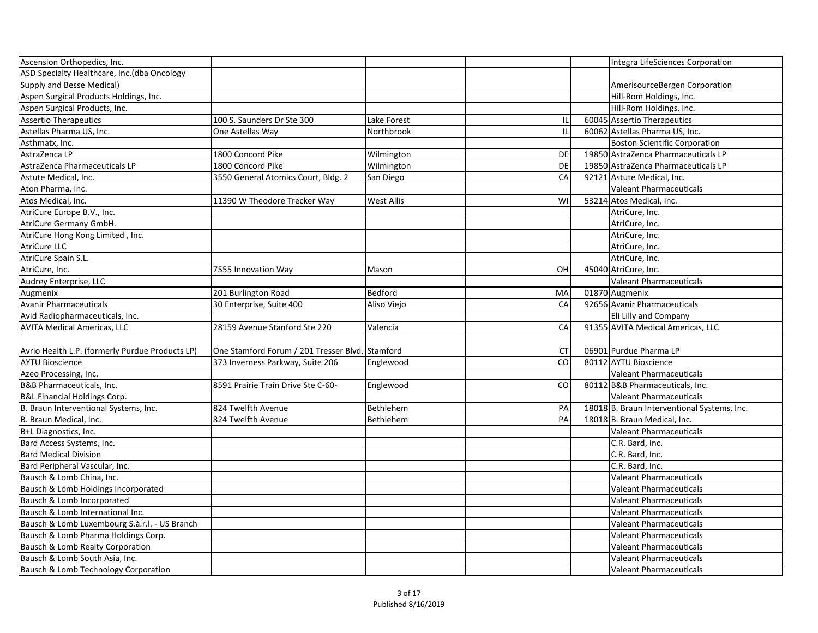| Ascension Orthopedics, Inc.                     |                                                 |                   |           | Integra LifeSciences Corporation            |
|-------------------------------------------------|-------------------------------------------------|-------------------|-----------|---------------------------------------------|
| ASD Specialty Healthcare, Inc.(dba Oncology     |                                                 |                   |           |                                             |
| Supply and Besse Medical)                       |                                                 |                   |           | AmerisourceBergen Corporation               |
| Aspen Surgical Products Holdings, Inc.          |                                                 |                   |           | Hill-Rom Holdings, Inc.                     |
| Aspen Surgical Products, Inc.                   |                                                 |                   |           | Hill-Rom Holdings, Inc.                     |
| <b>Assertio Therapeutics</b>                    | 100 S. Saunders Dr Ste 300                      | Lake Forest       |           | 60045 Assertio Therapeutics                 |
| Astellas Pharma US, Inc.                        | One Astellas Way                                | Northbrook        |           | 60062 Astellas Pharma US, Inc.              |
| Asthmatx, Inc.                                  |                                                 |                   |           | <b>Boston Scientific Corporation</b>        |
| AstraZenca LP                                   | 1800 Concord Pike                               | Wilmington        | <b>DE</b> | 19850 AstraZenca Pharmaceuticals LP         |
| AstraZenca Pharmaceuticals LP                   | 1800 Concord Pike                               | Wilmington        | <b>DE</b> | 19850 AstraZenca Pharmaceuticals LP         |
| Astute Medical, Inc.                            | 3550 General Atomics Court, Bldg. 2             | San Diego         | CA        | 92121 Astute Medical, Inc.                  |
| Aton Pharma, Inc.                               |                                                 |                   |           | <b>Valeant Pharmaceuticals</b>              |
| Atos Medical, Inc.                              | 11390 W Theodore Trecker Way                    | <b>West Allis</b> | WI        | 53214 Atos Medical, Inc.                    |
| AtriCure Europe B.V., Inc.                      |                                                 |                   |           | AtriCure, Inc.                              |
| AtriCure Germany GmbH.                          |                                                 |                   |           | AtriCure, Inc.                              |
| AtriCure Hong Kong Limited, Inc.                |                                                 |                   |           | AtriCure, Inc.                              |
| <b>AtriCure LLC</b>                             |                                                 |                   |           | AtriCure, Inc.                              |
| AtriCure Spain S.L.                             |                                                 |                   |           | AtriCure, Inc.                              |
| AtriCure, Inc.                                  | 7555 Innovation Way                             | Mason             | OH        | 45040 AtriCure, Inc.                        |
| Audrey Enterprise, LLC                          |                                                 |                   |           | <b>Valeant Pharmaceuticals</b>              |
| Augmenix                                        | 201 Burlington Road                             | <b>Bedford</b>    | MA        | 01870 Augmenix                              |
| Avanir Pharmaceuticals                          | 30 Enterprise, Suite 400                        | Aliso Viejo       | CA        | 92656 Avanir Pharmaceuticals                |
| Avid Radiopharmaceuticals, Inc.                 |                                                 |                   |           | Eli Lilly and Company                       |
| <b>AVITA Medical Americas, LLC</b>              | 28159 Avenue Stanford Ste 220                   | Valencia          | CA        | 91355 AVITA Medical Americas, LLC           |
|                                                 |                                                 |                   |           |                                             |
| Avrio Health L.P. (formerly Purdue Products LP) | One Stamford Forum / 201 Tresser Blvd. Stamford |                   | CT        | 06901 Purdue Pharma LP                      |
| <b>AYTU Bioscience</b>                          | 373 Inverness Parkway, Suite 206                | Englewood         | CO        | 80112 AYTU Bioscience                       |
| Azeo Processing, Inc.                           |                                                 |                   |           | <b>Valeant Pharmaceuticals</b>              |
| <b>B&amp;B Pharmaceuticals, Inc.</b>            | 8591 Prairie Train Drive Ste C-60-              | Englewood         | CO        | 80112 B&B Pharmaceuticals, Inc.             |
| B&L Financial Holdings Corp.                    |                                                 |                   |           | Valeant Pharmaceuticals                     |
| B. Braun Interventional Systems, Inc.           | 824 Twelfth Avenue                              | Bethlehem         | PA        | 18018 B. Braun Interventional Systems, Inc. |
| B. Braun Medical, Inc.                          | 824 Twelfth Avenue                              | Bethlehem         | PA        | 18018 B. Braun Medical, Inc.                |
| B+L Diagnostics, Inc.                           |                                                 |                   |           | <b>Valeant Pharmaceuticals</b>              |
| Bard Access Systems, Inc.                       |                                                 |                   |           | C.R. Bard, Inc.                             |
| <b>Bard Medical Division</b>                    |                                                 |                   |           | C.R. Bard, Inc.                             |
| Bard Peripheral Vascular, Inc.                  |                                                 |                   |           | C.R. Bard, Inc.                             |
| Bausch & Lomb China, Inc.                       |                                                 |                   |           | <b>Valeant Pharmaceuticals</b>              |
| Bausch & Lomb Holdings Incorporated             |                                                 |                   |           | <b>Valeant Pharmaceuticals</b>              |
| Bausch & Lomb Incorporated                      |                                                 |                   |           | <b>Valeant Pharmaceuticals</b>              |
| Bausch & Lomb International Inc.                |                                                 |                   |           | <b>Valeant Pharmaceuticals</b>              |
| Bausch & Lomb Luxembourg S.à.r.l. - US Branch   |                                                 |                   |           | <b>Valeant Pharmaceuticals</b>              |
| Bausch & Lomb Pharma Holdings Corp.             |                                                 |                   |           | <b>Valeant Pharmaceuticals</b>              |
| <b>Bausch &amp; Lomb Realty Corporation</b>     |                                                 |                   |           | <b>Valeant Pharmaceuticals</b>              |
| Bausch & Lomb South Asia, Inc.                  |                                                 |                   |           | <b>Valeant Pharmaceuticals</b>              |
| <b>Bausch &amp; Lomb Technology Corporation</b> |                                                 |                   |           | <b>Valeant Pharmaceuticals</b>              |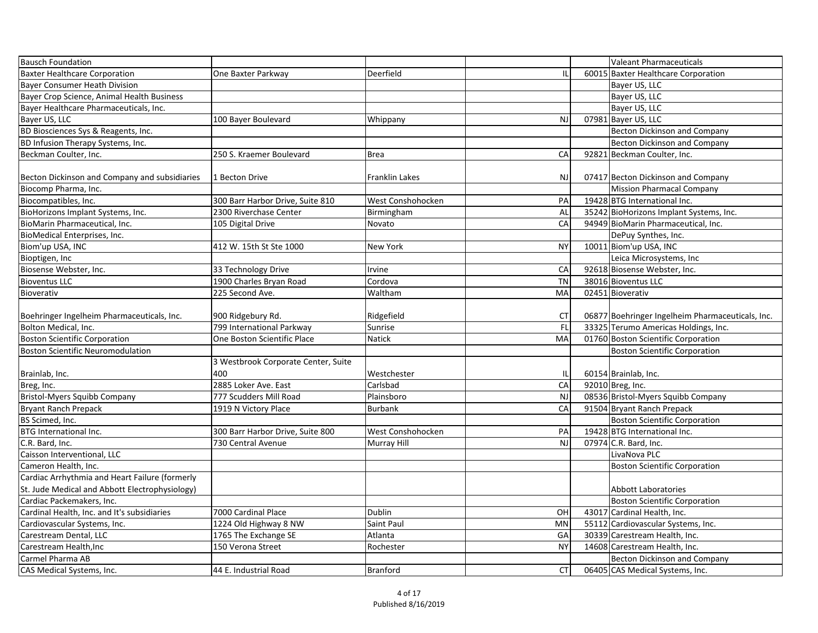| <b>Bausch Foundation</b>                       |                                     |                          |           | <b>Valeant Pharmaceuticals</b>                   |
|------------------------------------------------|-------------------------------------|--------------------------|-----------|--------------------------------------------------|
| <b>Baxter Healthcare Corporation</b>           | One Baxter Parkway                  | Deerfield                |           | 60015 Baxter Healthcare Corporation              |
| Bayer Consumer Heath Division                  |                                     |                          |           | Bayer US, LLC                                    |
| Bayer Crop Science, Animal Health Business     |                                     |                          |           | Bayer US, LLC                                    |
| Bayer Healthcare Pharmaceuticals, Inc.         |                                     |                          |           | Bayer US, LLC                                    |
| Bayer US, LLC                                  | 100 Bayer Boulevard                 | <b>Whippany</b>          | <b>NJ</b> | 07981 Bayer US, LLC                              |
| BD Biosciences Sys & Reagents, Inc.            |                                     |                          |           | <b>Becton Dickinson and Company</b>              |
| BD Infusion Therapy Systems, Inc.              |                                     |                          |           | <b>Becton Dickinson and Company</b>              |
| Beckman Coulter, Inc.                          | 250 S. Kraemer Boulevard            | Brea                     | CA        | 92821 Beckman Coulter, Inc.                      |
|                                                |                                     |                          |           |                                                  |
| Becton Dickinson and Company and subsidiaries  | 1 Becton Drive                      | Franklin Lakes           | <b>NJ</b> | 07417 Becton Dickinson and Company               |
| Biocomp Pharma, Inc.                           |                                     |                          |           | <b>Mission Pharmacal Company</b>                 |
| Biocompatibles, Inc.                           | 300 Barr Harbor Drive, Suite 810    | <b>West Conshohocken</b> | PA        | 19428 BTG International Inc.                     |
| BioHorizons Implant Systems, Inc.              | 2300 Riverchase Center              | Birmingham               | AL        | 35242 BioHorizons Implant Systems, Inc.          |
| BioMarin Pharmaceutical, Inc.                  | 105 Digital Drive                   | Novato                   | CA        | 94949 BioMarin Pharmaceutical, Inc.              |
| BioMedical Enterprises, Inc.                   |                                     |                          |           | DePuy Synthes, Inc.                              |
| Biom'up USA, INC                               | 412 W. 15th St Ste 1000             | New York                 | <b>NY</b> | 10011 Biom'up USA, INC                           |
| Bioptigen, Inc                                 |                                     |                          |           | Leica Microsystems, Inc                          |
| Biosense Webster, Inc.                         | 33 Technology Drive                 | Irvine                   | CA        | 92618 Biosense Webster, Inc.                     |
| <b>Bioventus LLC</b>                           | 1900 Charles Bryan Road             | Cordova                  | <b>TN</b> | 38016 Bioventus LLC                              |
| Bioverativ                                     | 225 Second Ave.                     | <b>Waltham</b>           | MA        | 02451 Bioverativ                                 |
|                                                |                                     |                          |           |                                                  |
| Boehringer Ingelheim Pharmaceuticals, Inc.     | 900 Ridgebury Rd.                   | Ridgefield               | <b>CT</b> | 06877 Boehringer Ingelheim Pharmaceuticals, Inc. |
| Bolton Medical, Inc.                           | 799 International Parkway           | Sunrise                  | FL        | 33325 Terumo Americas Holdings, Inc.             |
| <b>Boston Scientific Corporation</b>           | One Boston Scientific Place         | Natick                   | MA        | 01760 Boston Scientific Corporation              |
| <b>Boston Scientific Neuromodulation</b>       |                                     |                          |           | <b>Boston Scientific Corporation</b>             |
|                                                | 3 Westbrook Corporate Center, Suite |                          |           |                                                  |
| Brainlab, Inc.                                 | 400                                 | Westchester              |           | 60154 Brainlab, Inc.                             |
| Breg, Inc.                                     | 2885 Loker Ave. East                | Carlsbad                 | CA        | 92010 Breg, Inc.                                 |
| Bristol-Myers Squibb Company                   | 777 Scudders Mill Road              | Plainsboro               | <b>NJ</b> | 08536 Bristol-Myers Squibb Company               |
| Bryant Ranch Prepack                           | 1919 N Victory Place                | Burbank                  | CA        | 91504 Bryant Ranch Prepack                       |
| BS Scimed, Inc.                                |                                     |                          |           | <b>Boston Scientific Corporation</b>             |
| BTG International Inc.                         | 300 Barr Harbor Drive, Suite 800    | <b>West Conshohocken</b> | PA        | 19428 BTG International Inc.                     |
| C.R. Bard, Inc.                                | 730 Central Avenue                  | Murray Hill              | <b>NJ</b> | 07974 C.R. Bard, Inc.                            |
| Caisson Interventional, LLC                    |                                     |                          |           | LivaNova PLC                                     |
| Cameron Health, Inc.                           |                                     |                          |           | <b>Boston Scientific Corporation</b>             |
| Cardiac Arrhythmia and Heart Failure (formerly |                                     |                          |           |                                                  |
| St. Jude Medical and Abbott Electrophysiology) |                                     |                          |           | <b>Abbott Laboratories</b>                       |
| Cardiac Packemakers, Inc.                      |                                     |                          |           | <b>Boston Scientific Corporation</b>             |
| Cardinal Health, Inc. and It's subsidiaries    | 7000 Cardinal Place                 | Dublin                   | OH        | 43017 Cardinal Health, Inc.                      |
| Cardiovascular Systems, Inc.                   | 1224 Old Highway 8 NW               | Saint Paul               | MN        | 55112 Cardiovascular Systems, Inc.               |
| Carestream Dental, LLC                         | 1765 The Exchange SE                | Atlanta                  | GA        | 30339 Carestream Health, Inc.                    |
| Carestream Health, Inc                         | 150 Verona Street                   | Rochester                | <b>NY</b> | 14608 Carestream Health, Inc.                    |
| Carmel Pharma AB                               |                                     |                          |           | <b>Becton Dickinson and Company</b>              |
| CAS Medical Systems, Inc.                      | 44 E. Industrial Road               | Branford                 | <b>CT</b> | 06405 CAS Medical Systems, Inc.                  |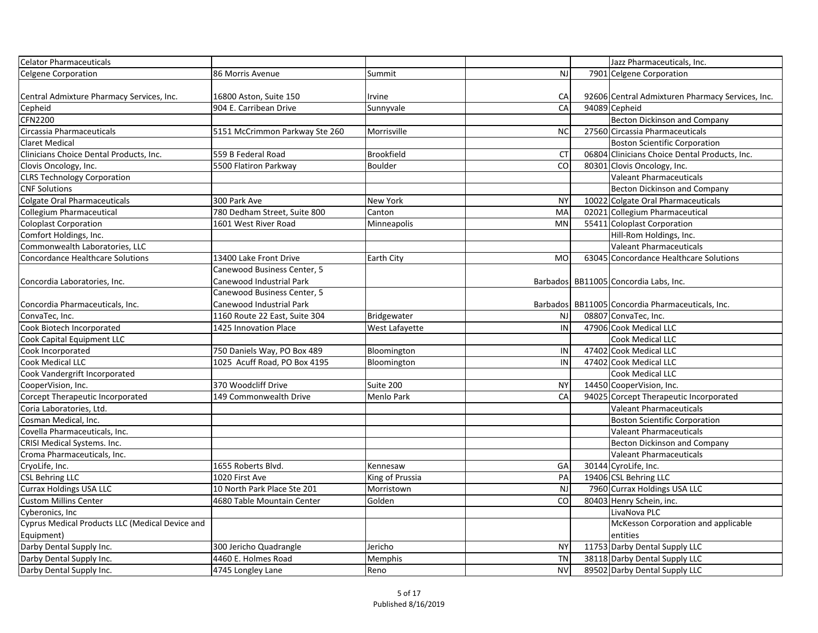| Celator Pharmaceuticals                         |                                |                 |           | Jazz Pharmaceuticals, Inc.                           |
|-------------------------------------------------|--------------------------------|-----------------|-----------|------------------------------------------------------|
| Celgene Corporation                             | 86 Morris Avenue               | Summit          | <b>NJ</b> | 7901 Celgene Corporation                             |
| Central Admixture Pharmacy Services, Inc.       | 16800 Aston, Suite 150         | Irvine          | CA        | 92606 Central Admixturen Pharmacy Services, Inc.     |
| Cepheid                                         | 904 E. Carribean Drive         | Sunnyvale       | CA        | 94089 Cepheid                                        |
| <b>CFN2200</b>                                  |                                |                 |           | <b>Becton Dickinson and Company</b>                  |
| Circassia Pharmaceuticals                       | 5151 McCrimmon Parkway Ste 260 | Morrisville     | <b>NC</b> | 27560 Circassia Pharmaceuticals                      |
| <b>Claret Medical</b>                           |                                |                 |           | <b>Boston Scientific Corporation</b>                 |
| Clinicians Choice Dental Products, Inc.         | 559 B Federal Road             | Brookfield      | <b>CT</b> | 06804 Clinicians Choice Dental Products, Inc.        |
| Clovis Oncology, Inc.                           | 5500 Flatiron Parkway          | <b>Boulder</b>  | CO        | 80301 Clovis Oncology, Inc.                          |
| <b>CLRS Technology Corporation</b>              |                                |                 |           | <b>Valeant Pharmaceuticals</b>                       |
| <b>CNF Solutions</b>                            |                                |                 |           | <b>Becton Dickinson and Company</b>                  |
| Colgate Oral Pharmaceuticals                    | 300 Park Ave                   | <b>New York</b> | <b>NY</b> | 10022 Colgate Oral Pharmaceuticals                   |
| Collegium Pharmaceutical                        | 780 Dedham Street, Suite 800   | Canton          | MA        | 02021 Collegium Pharmaceutical                       |
| Coloplast Corporation                           | 1601 West River Road           | Minneapolis     | <b>MN</b> | 55411 Coloplast Corporation                          |
| Comfort Holdings, Inc.                          |                                |                 |           | Hill-Rom Holdings, Inc.                              |
| Commonwealth Laboratories, LLC                  |                                |                 |           | <b>Valeant Pharmaceuticals</b>                       |
| <b>Concordance Healthcare Solutions</b>         | 13400 Lake Front Drive         | Earth City      | <b>MO</b> | 63045 Concordance Healthcare Solutions               |
|                                                 | Canewood Business Center, 5    |                 |           |                                                      |
| Concordia Laboratories, Inc.                    | Canewood Industrial Park       |                 |           | Barbados   BB11005   Concordia Labs, Inc.            |
|                                                 | Canewood Business Center, 5    |                 |           |                                                      |
| Concordia Pharmaceuticals, Inc.                 | Canewood Industrial Park       |                 |           | Barbados   BB11005   Concordia Pharmaceuticals, Inc. |
| ConvaTec, Inc.                                  | 1160 Route 22 East, Suite 304  | Bridgewater     | <b>NJ</b> | 08807 ConvaTec, Inc.                                 |
| Cook Biotech Incorporated                       | 1425 Innovation Place          | West Lafayette  | IN        | 47906 Cook Medical LLC                               |
| Cook Capital Equipment LLC                      |                                |                 |           | Cook Medical LLC                                     |
| Cook Incorporated                               | 750 Daniels Way, PO Box 489    | Bloomington     | IN        | 47402 Cook Medical LLC                               |
| Cook Medical LLC                                | 1025 Acuff Road, PO Box 4195   | Bloomington     | IN        | 47402 Cook Medical LLC                               |
| Cook Vandergrift Incorporated                   |                                |                 |           | <b>Cook Medical LLC</b>                              |
| CooperVision, Inc.                              | 370 Woodcliff Drive            | Suite 200       | <b>NY</b> | 14450 CooperVision, Inc.                             |
| Corcept Therapeutic Incorporated                | 149 Commonwealth Drive         | Menlo Park      | CA        | 94025 Corcept Therapeutic Incorporated               |
| Coria Laboratories, Ltd.                        |                                |                 |           | Valeant Pharmaceuticals                              |
| Cosman Medical, Inc.                            |                                |                 |           | <b>Boston Scientific Corporation</b>                 |
| Covella Pharmaceuticals, Inc.                   |                                |                 |           | <b>Valeant Pharmaceuticals</b>                       |
| <b>CRISI Medical Systems. Inc.</b>              |                                |                 |           | <b>Becton Dickinson and Company</b>                  |
| Croma Pharmaceuticals, Inc.                     |                                |                 |           | Valeant Pharmaceuticals                              |
| CryoLife, Inc.                                  | 1655 Roberts Blvd.             | Kennesaw        | GA        | 30144 CyroLife, Inc.                                 |
| <b>CSL Behring LLC</b>                          | 1020 First Ave                 | King of Prussia | PA        | 19406 CSL Behring LLC                                |
| <b>Currax Holdings USA LLC</b>                  | 10 North Park Place Ste 201    | Morristown      | <b>NJ</b> | 7960 Currax Holdings USA LLC                         |
| <b>Custom Millins Center</b>                    | 4680 Table Mountain Center     | Golden          | CO        | 80403 Henry Schein, inc.                             |
| Cyberonics, Inc                                 |                                |                 |           | LivaNova PLC                                         |
| Cyprus Medical Products LLC (Medical Device and |                                |                 |           | McKesson Corporation and applicable                  |
| Equipment)                                      |                                |                 |           | entities                                             |
| Darby Dental Supply Inc.                        | 300 Jericho Quadrangle         | Jericho         | <b>NY</b> | 11753 Darby Dental Supply LLC                        |
| Darby Dental Supply Inc.                        | 4460 E. Holmes Road            | Memphis         | <b>TN</b> | 38118 Darby Dental Supply LLC                        |
| Darby Dental Supply Inc.                        | 4745 Longley Lane              | Reno            | <b>NV</b> | 89502 Darby Dental Supply LLC                        |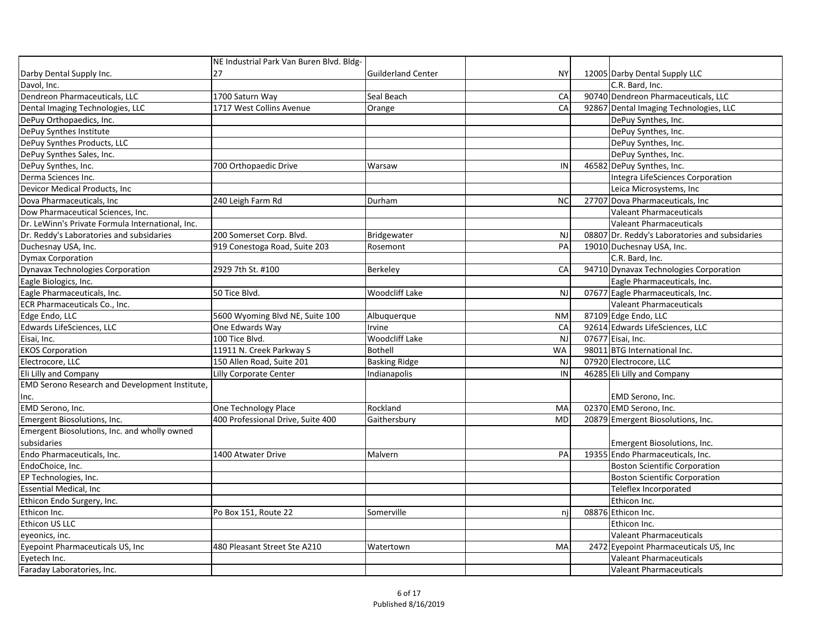|                                                       | NE Industrial Park Van Buren Blvd. Bldg- |                           |           |                                                |
|-------------------------------------------------------|------------------------------------------|---------------------------|-----------|------------------------------------------------|
| Darby Dental Supply Inc.                              | 27                                       | <b>Guilderland Center</b> | <b>NY</b> | 12005 Darby Dental Supply LLC                  |
| Davol, Inc.                                           |                                          |                           |           | C.R. Bard, Inc.                                |
| Dendreon Pharmaceuticals, LLC                         | 1700 Saturn Way                          | Seal Beach                | CA        | 90740 Dendreon Pharmaceuticals, LLC            |
| Dental Imaging Technologies, LLC                      | 1717 West Collins Avenue                 | Orange                    | CA        | 92867 Dental Imaging Technologies, LLC         |
| DePuy Orthopaedics, Inc.                              |                                          |                           |           | DePuy Synthes, Inc.                            |
| DePuy Synthes Institute                               |                                          |                           |           | DePuy Synthes, Inc.                            |
| DePuy Synthes Products, LLC                           |                                          |                           |           | DePuy Synthes, Inc.                            |
| DePuy Synthes Sales, Inc.                             |                                          |                           |           | DePuy Synthes, Inc.                            |
| DePuy Synthes, Inc.                                   | 700 Orthopaedic Drive                    | Warsaw                    | IN        | 46582 DePuy Synthes, Inc.                      |
| Derma Sciences Inc.                                   |                                          |                           |           | Integra LifeSciences Corporation               |
| Devicor Medical Products, Inc                         |                                          |                           |           | Leica Microsystems, Inc                        |
| Dova Pharmaceuticals, Inc                             | 240 Leigh Farm Rd                        | Durham                    | <b>NC</b> | 27707 Dova Pharmaceuticals, Inc                |
| Dow Pharmaceutical Sciences, Inc.                     |                                          |                           |           | <b>Valeant Pharmaceuticals</b>                 |
| Dr. LeWinn's Private Formula International, Inc.      |                                          |                           |           | <b>Valeant Pharmaceuticals</b>                 |
| Dr. Reddy's Laboratories and subsidaries              | 200 Somerset Corp. Blvd.                 | Bridgewater               | <b>NJ</b> | 08807 Dr. Reddy's Laboratories and subsidaries |
| Duchesnay USA, Inc.                                   | 919 Conestoga Road, Suite 203            | Rosemont                  | PA        | 19010 Duchesnay USA, Inc.                      |
| <b>Dymax Corporation</b>                              |                                          |                           |           | C.R. Bard, Inc.                                |
| <b>Dynavax Technologies Corporation</b>               | 2929 7th St. #100                        | Berkeley                  | CA        | 94710 Dynavax Technologies Corporation         |
| Eagle Biologics, Inc.                                 |                                          |                           |           | Eagle Pharmaceuticals, Inc.                    |
| Eagle Pharmaceuticals, Inc.                           | 50 Tice Blvd.                            | <b>Woodcliff Lake</b>     | <b>NJ</b> | 07677 Eagle Pharmaceuticals, Inc.              |
| ECR Pharmaceuticals Co., Inc.                         |                                          |                           |           | <b>Valeant Pharmaceuticals</b>                 |
| Edge Endo, LLC                                        | 5600 Wyoming Blvd NE, Suite 100          | Albuquerque               | <b>NM</b> | 87109 Edge Endo, LLC                           |
| Edwards LifeSciences, LLC                             | One Edwards Way                          | Irvine                    | CA        | 92614 Edwards LifeSciences, LLC                |
| Eisai, Inc.                                           | 100 Tice Blvd.                           | <b>Woodcliff Lake</b>     | <b>NJ</b> | 07677 Eisai, Inc.                              |
| <b>EKOS Corporation</b>                               | 11911 N. Creek Parkway S                 | <b>Bothell</b>            | <b>WA</b> | 98011 BTG International Inc.                   |
| Electrocore, LLC                                      | 150 Allen Road, Suite 201                | <b>Basking Ridge</b>      | <b>NJ</b> | 07920 Electrocore, LLC                         |
| Eli Lilly and Company                                 | Lilly Corporate Center                   | Indianapolis              | IN        | 46285 Eli Lilly and Company                    |
| <b>EMD Serono Research and Development Institute,</b> |                                          |                           |           |                                                |
| IInc.                                                 |                                          |                           |           | <b>EMD Serono, Inc.</b>                        |
| EMD Serono, Inc.                                      | One Technology Place                     | Rockland                  | MA        | 02370 EMD Serono, Inc.                         |
| Emergent Biosolutions, Inc.                           | 400 Professional Drive, Suite 400        | Gaithersbury              | <b>MD</b> | 20879 Emergent Biosolutions, Inc.              |
| Emergent Biosolutions, Inc. and wholly owned          |                                          |                           |           |                                                |
| subsidaries                                           |                                          |                           |           | Emergent Biosolutions, Inc.                    |
| Endo Pharmaceuticals, Inc.                            | 1400 Atwater Drive                       | Malvern                   | PA        | 19355 Endo Pharmaceuticals, Inc.               |
| EndoChoice, Inc.                                      |                                          |                           |           | <b>Boston Scientific Corporation</b>           |
| EP Technologies, Inc.                                 |                                          |                           |           | <b>Boston Scientific Corporation</b>           |
| <b>Essential Medical, Inc</b>                         |                                          |                           |           | Teleflex Incorporated                          |
| Ethicon Endo Surgery, Inc.                            |                                          |                           |           | Ethicon Inc.                                   |
| Ethicon Inc.                                          | Po Box 151, Route 22                     | Somerville                | nj        | 08876 Ethicon Inc.                             |
| Ethicon US LLC                                        |                                          |                           |           | Ethicon Inc.                                   |
| eyeonics, inc.                                        |                                          |                           |           | <b>Valeant Pharmaceuticals</b>                 |
| Eyepoint Pharmaceuticals US, Inc                      | 480 Pleasant Street Ste A210             | Watertown                 | MA        | 2472 Eyepoint Pharmaceuticals US, Inc          |
| Eyetech Inc.                                          |                                          |                           |           | <b>Valeant Pharmaceuticals</b>                 |
| Faraday Laboratories, Inc.                            |                                          |                           |           | <b>Valeant Pharmaceuticals</b>                 |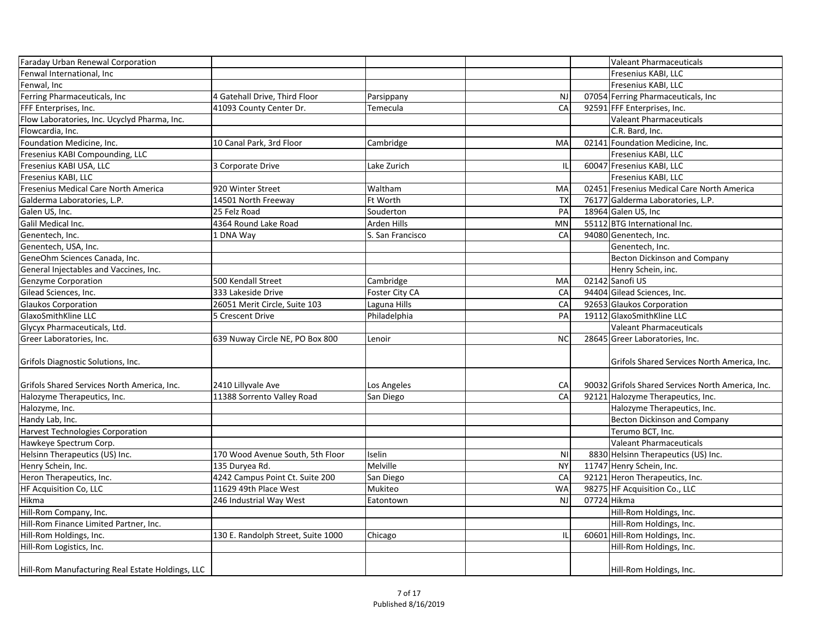| Faraday Urban Renewal Corporation                |                                    |                  |                |             | <b>Valeant Pharmaceuticals</b>                    |
|--------------------------------------------------|------------------------------------|------------------|----------------|-------------|---------------------------------------------------|
| Fenwal International, Inc                        |                                    |                  |                |             | Fresenius KABI, LLC                               |
| Fenwal, Inc                                      |                                    |                  |                |             | Fresenius KABI, LLC                               |
| Ferring Pharmaceuticals, Inc                     | 4 Gatehall Drive, Third Floor      | Parsippany       | <b>NJ</b>      |             | 07054 Ferring Pharmaceuticals, Inc                |
| <b>FFF Enterprises, Inc.</b>                     | 41093 County Center Dr.            | Temecula         | CA             |             | 92591 FFF Enterprises, Inc.                       |
| Flow Laboratories, Inc. Ucyclyd Pharma, Inc.     |                                    |                  |                |             | <b>Valeant Pharmaceuticals</b>                    |
| Flowcardia, Inc.                                 |                                    |                  |                |             | C.R. Bard, Inc.                                   |
| Foundation Medicine, Inc.                        | 10 Canal Park, 3rd Floor           | Cambridge        | MA             |             | 02141 Foundation Medicine, Inc.                   |
| Fresenius KABI Compounding, LLC                  |                                    |                  |                |             | Fresenius KABI, LLC                               |
| Fresenius KABI USA, LLC                          | 3 Corporate Drive                  | Lake Zurich      | IL             |             | 60047 Fresenius KABI, LLC                         |
| Fresenius KABI, LLC                              |                                    |                  |                |             | Fresenius KABI, LLC                               |
| Fresenius Medical Care North America             | 920 Winter Street                  | Waltham          | MA             |             | 02451 Fresenius Medical Care North America        |
| Galderma Laboratories, L.P.                      | 14501 North Freeway                | Ft Worth         | <b>TX</b>      |             | 76177 Galderma Laboratories, L.P.                 |
| Galen US, Inc.                                   | 25 Felz Road                       | Souderton        | PA             |             | 18964 Galen US, Inc                               |
| Galil Medical Inc.                               | 4364 Round Lake Road               | Arden Hills      | <b>MN</b>      |             | 55112 BTG International Inc.                      |
| Genentech, Inc.                                  | 1 DNA Way                          | S. San Francisco | CA             |             | 94080 Genentech, Inc.                             |
| Genentech, USA, Inc.                             |                                    |                  |                |             | Genentech, Inc.                                   |
| GeneOhm Sciences Canada, Inc.                    |                                    |                  |                |             | <b>Becton Dickinson and Company</b>               |
| General Injectables and Vaccines, Inc.           |                                    |                  |                |             | Henry Schein, inc.                                |
| Genzyme Corporation                              | 500 Kendall Street                 | Cambridge        | MA             |             | 02142 Sanofi US                                   |
| Gilead Sciences, Inc.                            | 333 Lakeside Drive                 | Foster City CA   | CA             |             | 94404 Gilead Sciences, Inc.                       |
| <b>Glaukos Corporation</b>                       | 26051 Merit Circle, Suite 103      | Laguna Hills     | CA             |             | 92653 Glaukos Corporation                         |
| GlaxoSmithKline LLC                              | 5 Crescent Drive                   | Philadelphia     | PA             |             | 19112 GlaxoSmithKline LLC                         |
| Glycyx Pharmaceuticals, Ltd.                     |                                    |                  |                |             | <b>Valeant Pharmaceuticals</b>                    |
| Greer Laboratories, Inc.                         | 639 Nuway Circle NE, PO Box 800    | Lenoir           | <b>NC</b>      |             | 28645 Greer Laboratories, Inc.                    |
|                                                  |                                    |                  |                |             |                                                   |
| Grifols Diagnostic Solutions, Inc.               |                                    |                  |                |             | Grifols Shared Services North America, Inc.       |
|                                                  |                                    |                  |                |             |                                                   |
| Grifols Shared Services North America, Inc.      | 2410 Lillyvale Ave                 | Los Angeles      | CA             |             | 90032 Grifols Shared Services North America, Inc. |
| Halozyme Therapeutics, Inc.                      | 11388 Sorrento Valley Road         | San Diego        | CA             |             | 92121 Halozyme Therapeutics, Inc.                 |
| Halozyme, Inc.                                   |                                    |                  |                |             | Halozyme Therapeutics, Inc.                       |
| Handy Lab, Inc.                                  |                                    |                  |                |             | <b>Becton Dickinson and Company</b>               |
| Harvest Technologies Corporation                 |                                    |                  |                |             | Terumo BCT, Inc.                                  |
| Hawkeye Spectrum Corp.                           |                                    |                  |                |             | <b>Valeant Pharmaceuticals</b>                    |
| Helsinn Therapeutics (US) Inc.                   | 170 Wood Avenue South, 5th Floor   | Iselin           | N <sub>1</sub> |             | 8830 Helsinn Therapeutics (US) Inc.               |
| Henry Schein, Inc.                               | 135 Duryea Rd.                     | Melville         | <b>NY</b>      |             | 11747 Henry Schein, Inc.                          |
| Heron Therapeutics, Inc.                         | 4242 Campus Point Ct. Suite 200    | San Diego        | CA             |             | 92121 Heron Therapeutics, Inc.                    |
| <b>HF Acquisition Co, LLC</b>                    | 11629 49th Place West              | Mukiteo          | <b>WA</b>      |             | 98275 HF Acquisition Co., LLC                     |
| Hikma                                            | 246 Industrial Way West            | Eatontown        | <b>NJ</b>      | 07724 Hikma |                                                   |
| Hill-Rom Company, Inc.                           |                                    |                  |                |             | Hill-Rom Holdings, Inc.                           |
| Hill-Rom Finance Limited Partner, Inc.           |                                    |                  |                |             | Hill-Rom Holdings, Inc.                           |
| Hill-Rom Holdings, Inc.                          | 130 E. Randolph Street, Suite 1000 | Chicago          | IL             |             | 60601 Hill-Rom Holdings, Inc.                     |
| Hill-Rom Logistics, Inc.                         |                                    |                  |                |             | Hill-Rom Holdings, Inc.                           |
|                                                  |                                    |                  |                |             |                                                   |
| Hill-Rom Manufacturing Real Estate Holdings, LLC |                                    |                  |                |             | Hill-Rom Holdings, Inc.                           |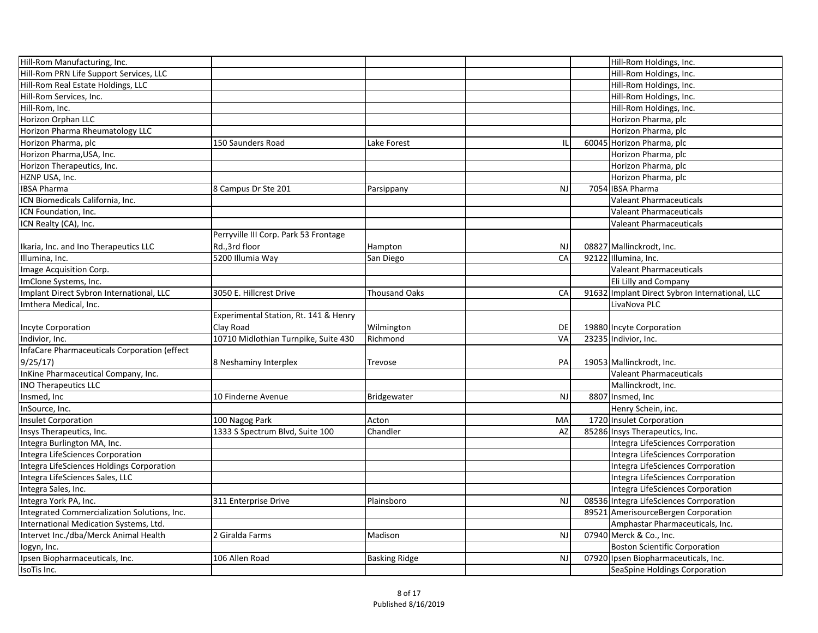| Hill-Rom Manufacturing, Inc.                 |                                       |                      |           | Hill-Rom Holdings, Inc.                        |
|----------------------------------------------|---------------------------------------|----------------------|-----------|------------------------------------------------|
| Hill-Rom PRN Life Support Services, LLC      |                                       |                      |           | Hill-Rom Holdings, Inc.                        |
| Hill-Rom Real Estate Holdings, LLC           |                                       |                      |           | Hill-Rom Holdings, Inc.                        |
| Hill-Rom Services, Inc.                      |                                       |                      |           | Hill-Rom Holdings, Inc.                        |
| Hill-Rom, Inc.                               |                                       |                      |           | Hill-Rom Holdings, Inc.                        |
| Horizon Orphan LLC                           |                                       |                      |           | Horizon Pharma, plc                            |
| Horizon Pharma Rheumatology LLC              |                                       |                      |           | Horizon Pharma, plc                            |
|                                              |                                       |                      |           |                                                |
| Horizon Pharma, plc                          | 150 Saunders Road                     | Lake Forest          |           | 60045 Horizon Pharma, plc                      |
| Horizon Pharma, USA, Inc.                    |                                       |                      |           | Horizon Pharma, plc                            |
| Horizon Therapeutics, Inc.                   |                                       |                      |           | Horizon Pharma, plc                            |
| HZNP USA, Inc.                               |                                       |                      |           | Horizon Pharma, plc                            |
| <b>IBSA Pharma</b>                           | 8 Campus Dr Ste 201                   | Parsippany           | <b>NJ</b> | 7054 IBSA Pharma                               |
| ICN Biomedicals California, Inc.             |                                       |                      |           | <b>Valeant Pharmaceuticals</b>                 |
| ICN Foundation, Inc.                         |                                       |                      |           | <b>Valeant Pharmaceuticals</b>                 |
| ICN Realty (CA), Inc.                        |                                       |                      |           | <b>Valeant Pharmaceuticals</b>                 |
|                                              | Perryville III Corp. Park 53 Frontage |                      |           |                                                |
| Ikaria, Inc. and Ino Therapeutics LLC        | Rd.,3rd floor                         | Hampton              | <b>NJ</b> | 08827 Mallinckrodt, Inc.                       |
| Illumina, Inc.                               | 5200 Illumia Way                      | San Diego            | CA        | 92122 Illumina, Inc.                           |
| Image Acquisition Corp.                      |                                       |                      |           | <b>Valeant Pharmaceuticals</b>                 |
| ImClone Systems, Inc.                        |                                       |                      |           | Eli Lilly and Company                          |
| Implant Direct Sybron International, LLC     | 3050 E. Hillcrest Drive               | Thousand Oaks        | CA        | 91632 Implant Direct Sybron International, LLC |
| Imthera Medical, Inc.                        |                                       |                      |           | LivaNova PLC                                   |
|                                              | Experimental Station, Rt. 141 & Henry |                      |           |                                                |
| Incyte Corporation                           | Clay Road                             | Wilmington           | DE        | 19880 Incyte Corporation                       |
| Indivior, Inc.                               | 10710 Midlothian Turnpike, Suite 430  | Richmond             | VA        | 23235 Indivior, Inc.                           |
| InfaCare Pharmaceuticals Corporation (effect |                                       |                      |           |                                                |
| 9/25/17                                      | 8 Neshaminy Interplex                 | <b>Trevose</b>       | PA        | 19053 Mallinckrodt, Inc.                       |
| InKine Pharmaceutical Company, Inc.          |                                       |                      |           | Valeant Pharmaceuticals                        |
| <b>INO Therapeutics LLC</b>                  |                                       |                      |           | Mallinckrodt, Inc.                             |
| Insmed, Inc                                  | 10 Finderne Avenue                    | Bridgewater          | NJ        | 8807 Insmed, Inc                               |
| InSource, Inc.                               |                                       |                      |           | Henry Schein, inc.                             |
| Insulet Corporation                          | 100 Nagog Park                        | Acton                | MA        | 1720 Insulet Corporation                       |
|                                              | 1333 S Spectrum Blvd, Suite 100       | Chandler             | AZ        | 85286 Insys Therapeutics, Inc.                 |
| Insys Therapeutics, Inc.                     |                                       |                      |           |                                                |
| Integra Burlington MA, Inc.                  |                                       |                      |           | Integra LifeSciences Corrporation              |
| Integra LifeSciences Corporation             |                                       |                      |           | Integra LifeSciences Corrporation              |
| Integra LifeSciences Holdings Corporation    |                                       |                      |           | Integra LifeSciences Corrporation              |
| Integra LifeSciences Sales, LLC              |                                       |                      |           | Integra LifeSciences Corrporation              |
| Integra Sales, Inc.                          |                                       |                      |           | Integra LifeSciences Corporation               |
| Integra York PA, Inc.                        | 311 Enterprise Drive                  | Plainsboro           | <b>NJ</b> | 08536 Integra LifeSciences Corrporation        |
| Integrated Commercialization Solutions, Inc. |                                       |                      |           | 89521 AmerisourceBergen Corporation            |
| International Medication Systems, Ltd.       |                                       |                      |           | Amphastar Pharmaceuticals, Inc.                |
| Intervet Inc./dba/Merck Animal Health        | 2 Giralda Farms                       | Madison              | <b>NJ</b> | 07940 Merck & Co., Inc.                        |
| logyn, Inc.                                  |                                       |                      |           | <b>Boston Scientific Corporation</b>           |
| Ipsen Biopharmaceuticals, Inc.               | 106 Allen Road                        | <b>Basking Ridge</b> | <b>NJ</b> | 07920 Ipsen Biopharmaceuticals, Inc.           |
| IsoTis Inc.                                  |                                       |                      |           | SeaSpine Holdings Corporation                  |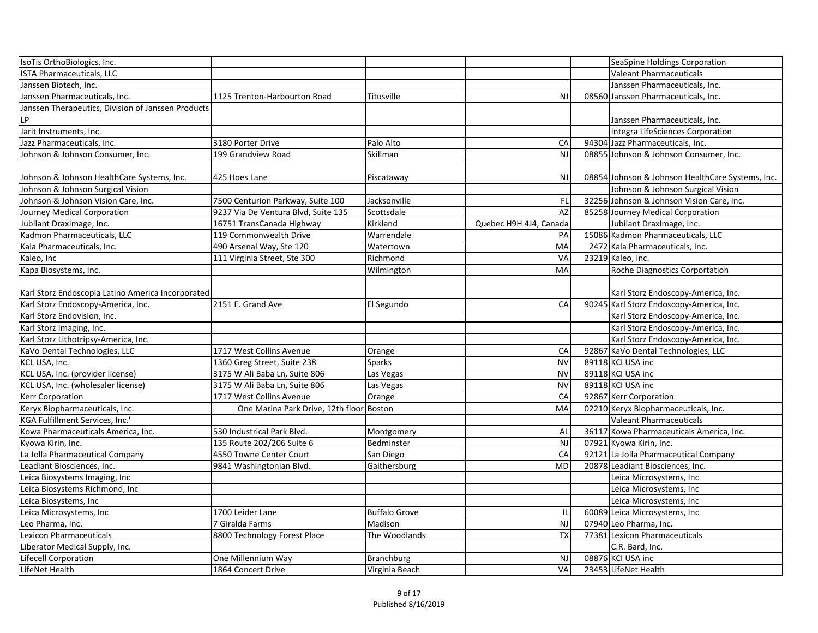| IsoTis OrthoBiologics, Inc.                        |                                          |                      |                         | SeaSpine Holdings Corporation                    |
|----------------------------------------------------|------------------------------------------|----------------------|-------------------------|--------------------------------------------------|
| <b>ISTA Pharmaceuticals, LLC</b>                   |                                          |                      |                         | <b>Valeant Pharmaceuticals</b>                   |
| Janssen Biotech, Inc.                              |                                          |                      |                         | Janssen Pharmaceuticals, Inc.                    |
| Janssen Pharmaceuticals, Inc.                      | 1125 Trenton-Harbourton Road             | Titusville           | <b>NJ</b>               | 08560 Janssen Pharmaceuticals, Inc.              |
| Janssen Therapeutics, Division of Janssen Products |                                          |                      |                         | Janssen Pharmaceuticals, Inc.                    |
| Jarit Instruments, Inc.                            |                                          |                      |                         | Integra LifeSciences Corporation                 |
| Jazz Pharmaceuticals, Inc.                         | 3180 Porter Drive                        | Palo Alto            | CA                      | 94304 Jazz Pharmaceuticals, Inc.                 |
| Johnson & Johnson Consumer, Inc.                   | 199 Grandview Road                       | Skillman             | NJ                      | 08855 Johnson & Johnson Consumer, Inc.           |
| Johnson & Johnson HealthCare Systems, Inc.         | 425 Hoes Lane                            | Piscataway           | <b>NJ</b>               | 08854 Johnson & Johnson HealthCare Systems, Inc. |
| Johnson & Johnson Surgical Vision                  |                                          |                      |                         | Johnson & Johnson Surgical Vision                |
| Johnson & Johnson Vision Care, Inc.                | 7500 Centurion Parkway, Suite 100        | Jacksonville         | FL                      | 32256 Johnson & Johnson Vision Care, Inc.        |
| Journey Medical Corporation                        | 9237 Via De Ventura Blvd, Suite 135      | Scottsdale           | <b>AZ</b>               | 85258 Journey Medical Corporation                |
| Jubilant DraxImage, Inc.                           | 16751 TransCanada Highway                | Kirkland             | Quebec H9H 4J4, Canada  | Jubilant DraxImage, Inc.                         |
| Kadmon Pharmaceuticals, LLC                        | 119 Commonwealth Drive                   | Warrendale           | PA                      | 15086 Kadmon Pharmaceuticals, LLC                |
| Kala Pharmaceuticals, Inc.                         | 490 Arsenal Way, Ste 120                 | Watertown            | MA                      | 2472 Kala Pharmaceuticals, Inc.                  |
| Kaleo, Inc                                         | 111 Virginia Street, Ste 300             | Richmond             | VA                      | 23219 Kaleo, Inc.                                |
| Kapa Biosystems, Inc.                              |                                          | Wilmington           | MA                      | <b>Roche Diagnostics Corportation</b>            |
| Karl Storz Endoscopia Latino America Incorporated  |                                          |                      |                         | Karl Storz Endoscopy-America, Inc.               |
| Karl Storz Endoscopy-America, Inc.                 | 2151 E. Grand Ave                        | El Segundo           | CA                      | 90245 Karl Storz Endoscopy-America, Inc.         |
| Karl Storz Endovision, Inc.                        |                                          |                      |                         | Karl Storz Endoscopy-America, Inc.               |
| Karl Storz Imaging, Inc.                           |                                          |                      |                         | Karl Storz Endoscopy-America, Inc.               |
| Karl Storz Lithotripsy-America, Inc.               |                                          |                      |                         | Karl Storz Endoscopy-America, Inc.               |
| KaVo Dental Technologies, LLC                      | 1717 West Collins Avenue                 | Orange               | CA                      | 92867 KaVo Dental Technologies, LLC              |
| KCL USA, Inc.                                      | 1360 Greg Street, Suite 238              | <b>Sparks</b>        | <b>NV</b>               | 89118 KCI USA inc                                |
| KCL USA, Inc. (provider license)                   | 3175 W Ali Baba Ln, Suite 806            | Las Vegas            | <b>NV</b>               | 89118 KCI USA inc                                |
| KCL USA, Inc. (wholesaler license)                 | 3175 W Ali Baba Ln, Suite 806            | Las Vegas            | <b>NV</b>               | 89118 KCI USA inc                                |
| <b>Kerr Corporation</b>                            | 1717 West Collins Avenue                 | Orange               | CA                      | 92867 Kerr Corporation                           |
| Keryx Biopharmaceuticals, Inc.                     | One Marina Park Drive, 12th floor Boston |                      | MA                      | 02210 Keryx Biopharmaceuticals, Inc.             |
| KGA Fulfillment Services, Inc.'                    |                                          |                      |                         | Valeant Pharmaceuticals                          |
| Kowa Pharmaceuticals America, Inc.                 | 530 Industrical Park Blvd.               | Montgomery           | AL                      | 36117 Kowa Pharmaceuticals America, Inc.         |
| Kyowa Kirin, Inc.                                  | 135 Route 202/206 Suite 6                | Bedminster           | <b>NJ</b>               | 07921 Kyowa Kirin, Inc.                          |
| La Jolla Pharmaceutical Company                    | 4550 Towne Center Court                  | San Diego            | CA                      | 92121 La Jolla Pharmaceutical Company            |
| Leadiant Biosciences, Inc.                         | 9841 Washingtonian Blvd.                 | Gaithersburg         | <b>MD</b>               | 20878 Leadiant Biosciences, Inc.                 |
| Leica Biosystems Imaging, Inc                      |                                          |                      |                         | Leica Microsystems, Inc.                         |
| Leica Biosystems Richmond, Inc                     |                                          |                      |                         | Leica Microsystems, Inc                          |
| Leica Biosystems, Inc                              |                                          |                      |                         | Leica Microsystems, Inc                          |
| Leica Microsystems, Inc                            | 1700 Leider Lane                         | <b>Buffalo Grove</b> | $\mathsf{I} \mathsf{L}$ | 60089 Leica Microsystems, Inc                    |
| Leo Pharma, Inc.                                   | 7 Giralda Farms                          | Madison              | NJ                      | 07940 Leo Pharma, Inc.                           |
| Lexicon Pharmaceuticals                            | 8800 Technology Forest Place             | The Woodlands        | TX                      | 77381 Lexicon Pharmaceuticals                    |
| Liberator Medical Supply, Inc.                     |                                          |                      |                         | C.R. Bard, Inc.                                  |
| Lifecell Corporation                               | One Millennium Way                       | <b>Branchburg</b>    | <b>NJ</b>               | 08876 KCI USA inc                                |
| LifeNet Health                                     | 1864 Concert Drive                       | Virginia Beach       | VA                      | 23453 LifeNet Health                             |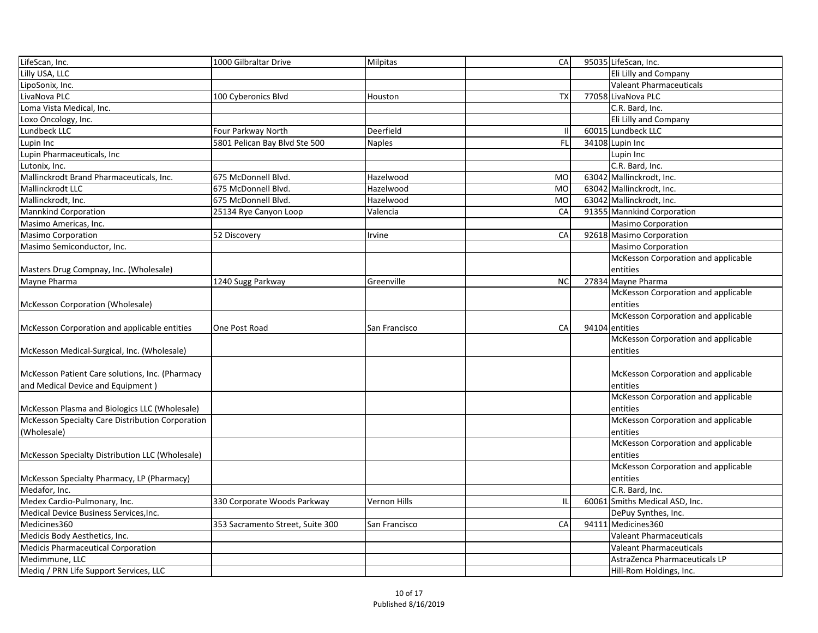| LifeScan, Inc.                                   | 1000 Gilbraltar Drive            | Milpitas      | CA        |      | 95035 LifeScan, Inc.                |
|--------------------------------------------------|----------------------------------|---------------|-----------|------|-------------------------------------|
| Lilly USA, LLC                                   |                                  |               |           |      | Eli Lilly and Company               |
| LipoSonix, Inc.                                  |                                  |               |           |      | Valeant Pharmaceuticals             |
| LivaNova PLC                                     | 100 Cyberonics Blvd              | Houston       | <b>TX</b> |      | 77058 LivaNova PLC                  |
| Loma Vista Medical, Inc.                         |                                  |               |           |      | C.R. Bard, Inc.                     |
| Loxo Oncology, Inc.                              |                                  |               |           |      | Eli Lilly and Company               |
| Lundbeck LLC                                     | Four Parkway North               | Deerfield     |           |      | 60015 Lundbeck LLC                  |
| Lupin Inc                                        | 5801 Pelican Bay Blvd Ste 500    | Naples        | FL        |      | 34108 Lupin Inc                     |
| Lupin Pharmaceuticals, Inc                       |                                  |               |           |      | Lupin Inc                           |
| Lutonix, Inc.                                    |                                  |               |           |      | C.R. Bard, Inc.                     |
| Mallinckrodt Brand Pharmaceuticals, Inc.         | 675 McDonnell Blvd.              | Hazelwood     | <b>MO</b> |      | 63042 Mallinckrodt, Inc.            |
| Mallinckrodt LLC                                 | 675 McDonnell Blvd.              | Hazelwood     | <b>MO</b> |      | 63042 Mallinckrodt, Inc.            |
| Mallinckrodt, Inc.                               | 675 McDonnell Blvd.              | Hazelwood     | <b>MO</b> |      | 63042 Mallinckrodt, Inc.            |
| Mannkind Corporation                             | 25134 Rye Canyon Loop            | Valencia      | CA        |      | 91355 Mannkind Corporation          |
| Masimo Americas, Inc.                            |                                  |               |           |      | <b>Masimo Corporation</b>           |
| <b>Masimo Corporation</b>                        | 52 Discovery                     | Irvine        | CA        |      | 92618 Masimo Corporation            |
| Masimo Semiconductor, Inc.                       |                                  |               |           |      | <b>Masimo Corporation</b>           |
|                                                  |                                  |               |           |      | McKesson Corporation and applicable |
| Masters Drug Compnay, Inc. (Wholesale)           |                                  |               |           |      | entities                            |
| Mayne Pharma                                     | 1240 Sugg Parkway                | Greenville    | <b>NC</b> |      | 27834 Mayne Pharma                  |
|                                                  |                                  |               |           |      | McKesson Corporation and applicable |
| McKesson Corporation (Wholesale)                 |                                  |               |           |      | entities                            |
|                                                  |                                  |               |           |      | McKesson Corporation and applicable |
| McKesson Corporation and applicable entities     | One Post Road                    | San Francisco | CA        |      | 94104 entities                      |
|                                                  |                                  |               |           |      | McKesson Corporation and applicable |
| McKesson Medical-Surgical, Inc. (Wholesale)      |                                  |               |           |      | entities                            |
|                                                  |                                  |               |           |      |                                     |
| McKesson Patient Care solutions, Inc. (Pharmacy  |                                  |               |           |      | McKesson Corporation and applicable |
| and Medical Device and Equipment)                |                                  |               |           |      | entities                            |
|                                                  |                                  |               |           |      | McKesson Corporation and applicable |
| McKesson Plasma and Biologics LLC (Wholesale)    |                                  |               |           |      | entities                            |
| McKesson Specialty Care Distribution Corporation |                                  |               |           |      | McKesson Corporation and applicable |
| (Wholesale)                                      |                                  |               |           |      | entities                            |
|                                                  |                                  |               |           |      | McKesson Corporation and applicable |
| McKesson Specialty Distribution LLC (Wholesale)  |                                  |               |           |      | entities                            |
|                                                  |                                  |               |           |      | McKesson Corporation and applicable |
| McKesson Specialty Pharmacy, LP (Pharmacy)       |                                  |               |           |      | <b>lentities</b>                    |
| Medafor, Inc.                                    |                                  |               |           |      | C.R. Bard, Inc.                     |
| Medex Cardio-Pulmonary, Inc.                     | 330 Corporate Woods Parkway      | Vernon Hills  | IL        |      | 60061 Smiths Medical ASD, Inc.      |
| Medical Device Business Services, Inc.           |                                  |               |           |      | DePuy Synthes, Inc.                 |
| Medicines360                                     | 353 Sacramento Street, Suite 300 | San Francisco | CA        | 9411 | Medicines360                        |
| Medicis Body Aesthetics, Inc.                    |                                  |               |           |      | <b>Valeant Pharmaceuticals</b>      |
| <b>Medicis Pharmaceutical Corporation</b>        |                                  |               |           |      | <b>Valeant Pharmaceuticals</b>      |
| Medimmune, LLC                                   |                                  |               |           |      | AstraZenca Pharmaceuticals LP       |
| Mediq / PRN Life Support Services, LLC           |                                  |               |           |      | Hill-Rom Holdings, Inc.             |
|                                                  |                                  |               |           |      |                                     |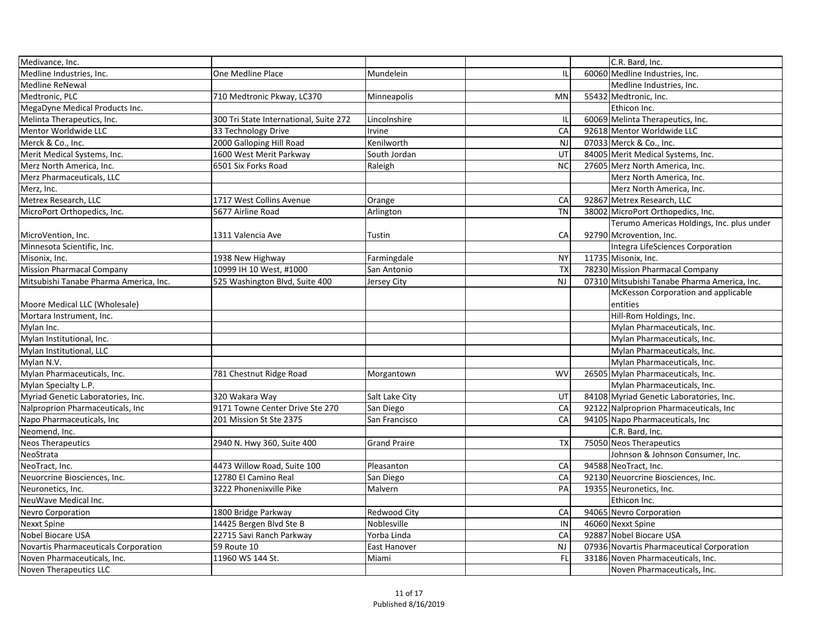| Medivance, Inc.                        |                                        |                     |           | C.R. Bard, Inc.                              |
|----------------------------------------|----------------------------------------|---------------------|-----------|----------------------------------------------|
| Medline Industries, Inc.               | One Medline Place                      | Mundelein           | Ш         | 60060 Medline Industries, Inc.               |
| Medline ReNewal                        |                                        |                     |           | Medline Industries, Inc.                     |
| Medtronic, PLC                         | 710 Medtronic Pkway, LC370             | Minneapolis         | <b>MN</b> | 55432 Medtronic, Inc.                        |
| MegaDyne Medical Products Inc.         |                                        |                     |           | Ethicon Inc.                                 |
| Melinta Therapeutics, Inc.             | 300 Tri State International, Suite 272 | Lincolnshire        | IL        | 60069 Melinta Therapeutics, Inc.             |
| Mentor Worldwide LLC                   | 33 Technology Drive                    | Irvine              | CA        | 92618 Mentor Worldwide LLC                   |
| Merck & Co., Inc.                      | 2000 Galloping Hill Road               | Kenilworth          | <b>NJ</b> | 07033 Merck & Co., Inc.                      |
| Merit Medical Systems, Inc.            | 1600 West Merit Parkway                | South Jordan        | UT        | 84005 Merit Medical Systems, Inc.            |
| Merz North America, Inc.               | 6501 Six Forks Road                    | Raleigh             | <b>NC</b> | 27605 Merz North America, Inc.               |
| Merz Pharmaceuticals, LLC              |                                        |                     |           | Merz North America, Inc.                     |
| Merz, Inc.                             |                                        |                     |           | Merz North America, Inc.                     |
| Metrex Research, LLC                   | 1717 West Collins Avenue               | Orange              | CA        | 92867 Metrex Research, LLC                   |
| MicroPort Orthopedics, Inc.            | 5677 Airline Road                      | Arlington           | <b>TN</b> | 38002 MicroPort Orthopedics, Inc.            |
|                                        |                                        |                     |           | Terumo Americas Holdings, Inc. plus under    |
| MicroVention, Inc.                     | 1311 Valencia Ave                      | Tustin              | CA        | 92790 Mcrovention, Inc.                      |
| Minnesota Scientific, Inc.             |                                        |                     |           | Integra LifeSciences Corporation             |
| Misonix, Inc.                          | 1938 New Highway                       | Farmingdale         | <b>NY</b> | 11735 Misonix, Inc.                          |
| Mission Pharmacal Company              | 10999 IH 10 West, #1000                | San Antonio         | <b>TX</b> | 78230 Mission Pharmacal Company              |
| Mitsubishi Tanabe Pharma America, Inc. | 525 Washington Blvd, Suite 400         | Jersey City         | NJ        | 07310 Mitsubishi Tanabe Pharma America, Inc. |
|                                        |                                        |                     |           | McKesson Corporation and applicable          |
| Moore Medical LLC (Wholesale)          |                                        |                     |           | entities                                     |
| Mortara Instrument, Inc.               |                                        |                     |           | Hill-Rom Holdings, Inc.                      |
| Mylan Inc.                             |                                        |                     |           | Mylan Pharmaceuticals, Inc.                  |
| Mylan Institutional, Inc.              |                                        |                     |           | Mylan Pharmaceuticals, Inc.                  |
| Mylan Institutional, LLC               |                                        |                     |           | Mylan Pharmaceuticals, Inc.                  |
| Mylan N.V.                             |                                        |                     |           | Mylan Pharmaceuticals, Inc.                  |
| Mylan Pharmaceuticals, Inc.            | 781 Chestnut Ridge Road                | Morgantown          | <b>WV</b> | 26505 Mylan Pharmaceuticals, Inc.            |
| Mylan Specialty L.P.                   |                                        |                     |           | Mylan Pharmaceuticals, Inc.                  |
| Myriad Genetic Laboratories, Inc.      | 320 Wakara Way                         | Salt Lake City      | UT        | 84108 Myriad Genetic Laboratories, Inc.      |
| Nalproprion Pharmaceuticals, Inc       | 9171 Towne Center Drive Ste 270        | San Diego           | CA        | 92122 Nalproprion Pharmaceuticals, Inc       |
| Napo Pharmaceuticals, Inc.             | 201 Mission St Ste 2375                | San Francisco       | CA        | 94105 Napo Pharmaceuticals, Inc              |
| Neomend, Inc.                          |                                        |                     |           | C.R. Bard, Inc.                              |
| Neos Therapeutics                      | 2940 N. Hwy 360, Suite 400             | <b>Grand Praire</b> | <b>TX</b> | 75050 Neos Therapeutics                      |
| NeoStrata                              |                                        |                     |           | Johnson & Johnson Consumer, Inc.             |
| NeoTract, Inc.                         | 4473 Willow Road, Suite 100            | Pleasanton          | CA        | 94588 NeoTract, Inc.                         |
| Neuorcrine Biosciences, Inc.           | 12780 El Camino Real                   | San Diego           | CA        | 92130 Neuorcrine Biosciences, Inc.           |
| Neuronetics, Inc.                      | 3222 Phonenixville Pike                | Malvern             | PA        | 19355 Neuronetics, Inc.                      |
| NeuWave Medical Inc.                   |                                        |                     |           | Ethicon Inc.                                 |
| <b>Nevro Corporation</b>               | 1800 Bridge Parkway                    | <b>Redwood City</b> | CA        | 94065 Nevro Corporation                      |
| Nexxt Spine                            | 14425 Bergen Blvd Ste B                | Noblesville         | IN        | 46060 Nexxt Spine                            |
| Nobel Biocare USA                      | 22715 Savi Ranch Parkway               | Yorba Linda         | CA        | 92887 Nobel Biocare USA                      |
| Novartis Pharmaceuticals Corporation   | 59 Route 10                            | <b>East Hanover</b> | NJ        | 07936 Novartis Pharmaceutical Corporation    |
| Noven Pharmaceuticals, Inc.            | 11960 WS 144 St.                       | Miami               | FL        | 33186 Noven Pharmaceuticals, Inc.            |
| Noven Therapeutics LLC                 |                                        |                     |           | Noven Pharmaceuticals, Inc.                  |
|                                        |                                        |                     |           |                                              |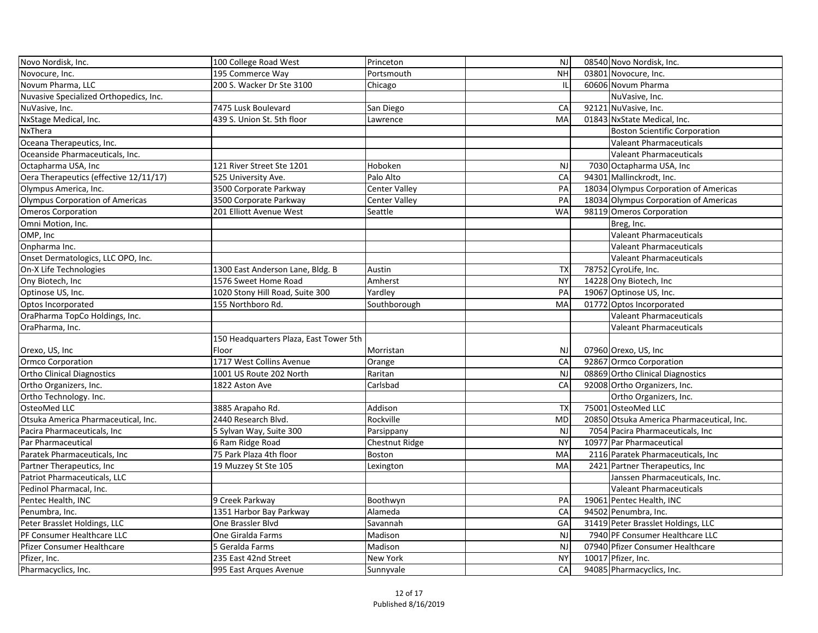| Novo Nordisk, Inc.                     | 100 College Road West                  | Princeton            | <b>NJ</b> | 08540 Novo Nordisk, Inc.                  |
|----------------------------------------|----------------------------------------|----------------------|-----------|-------------------------------------------|
| Novocure, Inc.                         | 195 Commerce Way                       | Portsmouth           | <b>NH</b> | 03801 Novocure, Inc.                      |
| Novum Pharma, LLC                      | 200 S. Wacker Dr Ste 3100              | Chicago              | Ш         | 60606 Novum Pharma                        |
| Nuvasive Specialized Orthopedics, Inc. |                                        |                      |           | NuVasive, Inc.                            |
| NuVasive, Inc.                         | 7475 Lusk Boulevard                    | San Diego            | CA        | 92121 NuVasive, Inc.                      |
| NxStage Medical, Inc.                  | 439 S. Union St. 5th floor             | Lawrence             | MA        | 01843 NxState Medical, Inc.               |
| NxThera                                |                                        |                      |           | <b>Boston Scientific Corporation</b>      |
| Oceana Therapeutics, Inc.              |                                        |                      |           | <b>Valeant Pharmaceuticals</b>            |
| Oceanside Pharmaceuticals, Inc.        |                                        |                      |           | <b>Valeant Pharmaceuticals</b>            |
| Octapharma USA, Inc                    | 121 River Street Ste 1201              | Hoboken              | <b>NJ</b> | 7030 Octapharma USA, Inc                  |
| Oera Therapeutics (effective 12/11/17) | 525 University Ave.                    | Palo Alto            | CA        | 94301 Mallinckrodt, Inc.                  |
| Olympus America, Inc.                  | 3500 Corporate Parkway                 | Center Valley        | PA        | 18034 Olympus Corporation of Americas     |
| Olympus Corporation of Americas        | 3500 Corporate Parkway                 | <b>Center Valley</b> | PA        | 18034 Olympus Corporation of Americas     |
| <b>Omeros Corporation</b>              | 201 Elliott Avenue West                | Seattle              | <b>WA</b> | 98119 Omeros Corporation                  |
| Omni Motion, Inc.                      |                                        |                      |           | Breg, Inc.                                |
| OMP, Inc                               |                                        |                      |           | <b>Valeant Pharmaceuticals</b>            |
| Onpharma Inc.                          |                                        |                      |           | <b>Valeant Pharmaceuticals</b>            |
| Onset Dermatologics, LLC OPO, Inc.     |                                        |                      |           | <b>Valeant Pharmaceuticals</b>            |
| On-X Life Technologies                 | 1300 East Anderson Lane, Bldg. B       | Austin               | <b>TX</b> | 78752 CyroLife, Inc.                      |
| Ony Biotech, Inc                       | 1576 Sweet Home Road                   | Amherst              | <b>NY</b> | 14228 Ony Biotech, Inc                    |
| Optinose US, Inc.                      | 1020 Stony Hill Road, Suite 300        | Yardley              | PA        | 19067 Optinose US, Inc.                   |
| Optos Incorporated                     | 155 Northboro Rd.                      | Southborough         | MA        | 01772 Optos Incorporated                  |
| OraPharma TopCo Holdings, Inc.         |                                        |                      |           | <b>Valeant Pharmaceuticals</b>            |
| OraPharma, Inc.                        |                                        |                      |           | <b>Valeant Pharmaceuticals</b>            |
|                                        | 150 Headquarters Plaza, East Tower 5th |                      |           |                                           |
| Orexo, US, Inc                         | Floor                                  | Morristan            | <b>NJ</b> | 07960 Orexo, US, Inc                      |
| Ormco Corporation                      | 1717 West Collins Avenue               | Orange               | CA        | 92867 Ormco Corporation                   |
| <b>Ortho Clinical Diagnostics</b>      | 1001 US Route 202 North                | Raritan              | <b>NJ</b> | 08869 Ortho Clinical Diagnostics          |
| Ortho Organizers, Inc.                 | 1822 Aston Ave                         | Carlsbad             | CA        | 92008 Ortho Organizers, Inc.              |
| Ortho Technology. Inc.                 |                                        |                      |           | Ortho Organizers, Inc.                    |
| <b>OsteoMed LLC</b>                    | 3885 Arapaho Rd.                       | Addison              | <b>TX</b> | 75001 OsteoMed LLC                        |
| Otsuka America Pharmaceutical, Inc.    | 2440 Research Blvd.                    | Rockville            | <b>MD</b> | 20850 Otsuka America Pharmaceutical, Inc. |
| Pacira Pharmaceuticals, Inc            | 5 Sylvan Way, Suite 300                | Parsippany           | <b>NJ</b> | 7054 Pacira Pharmaceuticals, Inc          |
| Par Pharmaceutical                     | 6 Ram Ridge Road                       | Chestnut Ridge       | <b>NY</b> | 10977   Par Pharmaceutical                |
| Paratek Pharmaceuticals, Inc           | 75 Park Plaza 4th floor                | Boston               | MA        | 2116 Paratek Pharmaceuticals, Inc         |
| Partner Therapeutics, Inc              | 19 Muzzey St Ste 105                   | Lexington            | MA        | 2421 Partner Therapeutics, Inc.           |
| Patriot Pharmaceuticals, LLC           |                                        |                      |           | Janssen Pharmaceuticals, Inc.             |
| Pedinol Pharmacal, Inc.                |                                        |                      |           | <b>Valeant Pharmaceuticals</b>            |
| Pentec Health, INC                     | 9 Creek Parkway                        | Boothwyn             | PA        | 19061 Pentec Health, INC                  |
| Penumbra, Inc.                         | 1351 Harbor Bay Parkway                | Alameda              | CA        | 94502 Penumbra, Inc.                      |
| Peter Brasslet Holdings, LLC           | One Brassler Blvd                      | Savannah             | GA        | 31419 Peter Brasslet Holdings, LLC        |
| PF Consumer Healthcare LLC             | One Giralda Farms                      | Madison              | <b>NJ</b> | 7940 PF Consumer Healthcare LLC           |
| Pfizer Consumer Healthcare             | 5 Geralda Farms                        | Madison              | <b>NJ</b> | 07940 Pfizer Consumer Healthcare          |
| Pfizer, Inc.                           | 235 East 42nd Street                   | New York             | <b>NY</b> | 10017 Pfizer, Inc.                        |
| Pharmacyclics, Inc.                    | 995 East Arques Avenue                 | Sunnyvale            | CA        | 94085 Pharmacyclics, Inc.                 |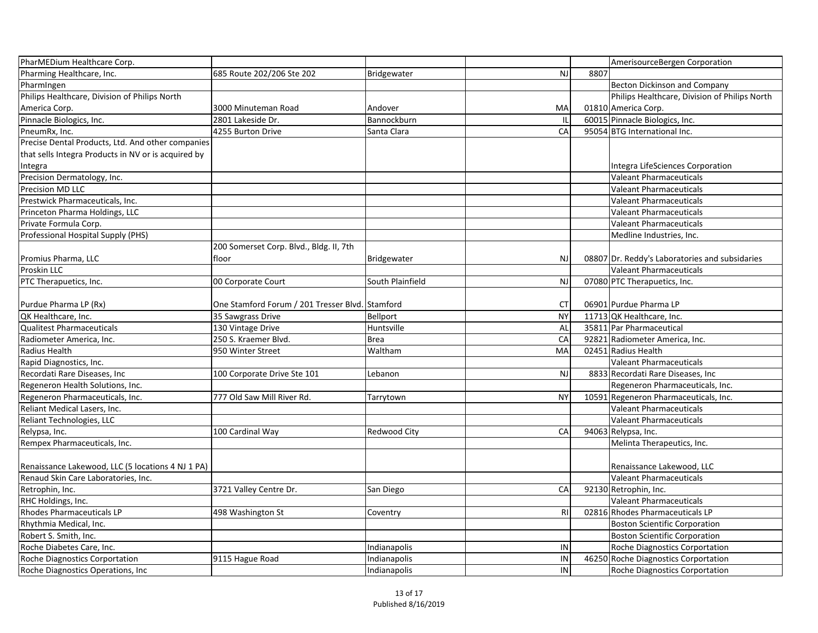| PharMEDium Healthcare Corp.                         |                                                 |                     |           |      | AmerisourceBergen Corporation                  |
|-----------------------------------------------------|-------------------------------------------------|---------------------|-----------|------|------------------------------------------------|
| Pharming Healthcare, Inc.                           | 685 Route 202/206 Ste 202                       | Bridgewater         | <b>NJ</b> | 8807 |                                                |
| PharmIngen                                          |                                                 |                     |           |      | Becton Dickinson and Company                   |
| Philips Healthcare, Division of Philips North       |                                                 |                     |           |      | Philips Healthcare, Division of Philips North  |
| America Corp.                                       | 3000 Minuteman Road                             | Andover             | MA        |      | 01810 America Corp.                            |
| Pinnacle Biologics, Inc.                            | 2801 Lakeside Dr.                               | Bannockburn         | IL        |      | 60015 Pinnacle Biologics, Inc.                 |
| PneumRx, Inc.                                       | 4255 Burton Drive                               | Santa Clara         | CA        |      | 95054 BTG International Inc.                   |
| Precise Dental Products, Ltd. And other companies   |                                                 |                     |           |      |                                                |
| that sells Integra Products in NV or is acquired by |                                                 |                     |           |      |                                                |
| Integra                                             |                                                 |                     |           |      | Integra LifeSciences Corporation               |
| Precision Dermatology, Inc.                         |                                                 |                     |           |      | <b>Valeant Pharmaceuticals</b>                 |
| <b>Precision MD LLC</b>                             |                                                 |                     |           |      | <b>Valeant Pharmaceuticals</b>                 |
| Prestwick Pharmaceuticals, Inc.                     |                                                 |                     |           |      | <b>Valeant Pharmaceuticals</b>                 |
| Princeton Pharma Holdings, LLC                      |                                                 |                     |           |      | <b>Valeant Pharmaceuticals</b>                 |
| Private Formula Corp.                               |                                                 |                     |           |      | <b>Valeant Pharmaceuticals</b>                 |
| Professional Hospital Supply (PHS)                  |                                                 |                     |           |      | Medline Industries, Inc.                       |
|                                                     | 200 Somerset Corp. Blvd., Bldg. II, 7th         |                     |           |      |                                                |
| Promius Pharma, LLC                                 | floor                                           | Bridgewater         | <b>NJ</b> |      | 08807 Dr. Reddy's Laboratories and subsidaries |
| Proskin LLC                                         |                                                 |                     |           |      | <b>Valeant Pharmaceuticals</b>                 |
| PTC Therapuetics, Inc.                              | 00 Corporate Court                              | South Plainfield    | <b>NJ</b> |      | 07080 PTC Therapuetics, Inc.                   |
|                                                     |                                                 |                     |           |      |                                                |
| Purdue Pharma LP (Rx)                               | One Stamford Forum / 201 Tresser Blvd. Stamford |                     | <b>CT</b> |      | 06901 Purdue Pharma LP                         |
| QK Healthcare, Inc.                                 | 35 Sawgrass Drive                               | <b>Bellport</b>     | <b>NY</b> |      | 11713 QK Healthcare, Inc.                      |
| <b>Qualitest Pharmaceuticals</b>                    | 130 Vintage Drive                               | Huntsville          | AL        |      | 35811 Par Pharmaceutical                       |
| Radiometer America, Inc.                            | 250 S. Kraemer Blvd.                            | <b>Brea</b>         | CA        |      | 92821 Radiometer America, Inc.                 |
| Radius Health                                       | 950 Winter Street                               | Waltham             | MA        |      | 02451 Radius Health                            |
| Rapid Diagnostics, Inc.                             |                                                 |                     |           |      | <b>Valeant Pharmaceuticals</b>                 |
| Recordati Rare Diseases, Inc                        | 100 Corporate Drive Ste 101                     | Lebanon             | <b>NJ</b> |      | 8833 Recordati Rare Diseases, Inc.             |
| Regeneron Health Solutions, Inc.                    |                                                 |                     |           |      | Regeneron Pharmaceuticals, Inc.                |
| Regeneron Pharmaceuticals, Inc.                     | 777 Old Saw Mill River Rd.                      | Tarrytown           | <b>NY</b> |      | 10591 Regeneron Pharmaceuticals, Inc.          |
| Reliant Medical Lasers, Inc.                        |                                                 |                     |           |      | Valeant Pharmaceuticals                        |
| Reliant Technologies, LLC                           |                                                 |                     |           |      | <b>Valeant Pharmaceuticals</b>                 |
| Relypsa, Inc.                                       | 100 Cardinal Way                                | <b>Redwood City</b> | CA        |      | 94063 Relypsa, Inc.                            |
| Rempex Pharmaceuticals, Inc.                        |                                                 |                     |           |      | Melinta Therapeutics, Inc.                     |
|                                                     |                                                 |                     |           |      |                                                |
| Renaissance Lakewood, LLC (5 locations 4 NJ 1 PA)   |                                                 |                     |           |      | Renaissance Lakewood, LLC                      |
| Renaud Skin Care Laboratories, Inc.                 |                                                 |                     |           |      | <b>Valeant Pharmaceuticals</b>                 |
| Retrophin, Inc.                                     | 3721 Valley Centre Dr.                          | San Diego           | CA        |      | 92130 Retrophin, Inc.                          |
| RHC Holdings, Inc.                                  |                                                 |                     |           |      | <b>Valeant Pharmaceuticals</b>                 |
| <b>Rhodes Pharmaceuticals LP</b>                    | 498 Washington St                               | Coventry            | R1        |      | 02816 Rhodes Pharmaceuticals LP                |
| Rhythmia Medical, Inc.                              |                                                 |                     |           |      | <b>Boston Scientific Corporation</b>           |
| Robert S. Smith, Inc.                               |                                                 |                     |           |      | Boston Scientific Corporation                  |
| Roche Diabetes Care, Inc.                           |                                                 | ndianapolis         | IN        |      | <b>Roche Diagnostics Corportation</b>          |
| Roche Diagnostics Corportation                      | 9115 Hague Road                                 | Indianapolis        | IN        |      | 46250 Roche Diagnostics Corportation           |
| Roche Diagnostics Operations, Inc.                  |                                                 | Indianapolis        | <b>IN</b> |      | <b>Roche Diagnostics Corportation</b>          |
|                                                     |                                                 |                     |           |      |                                                |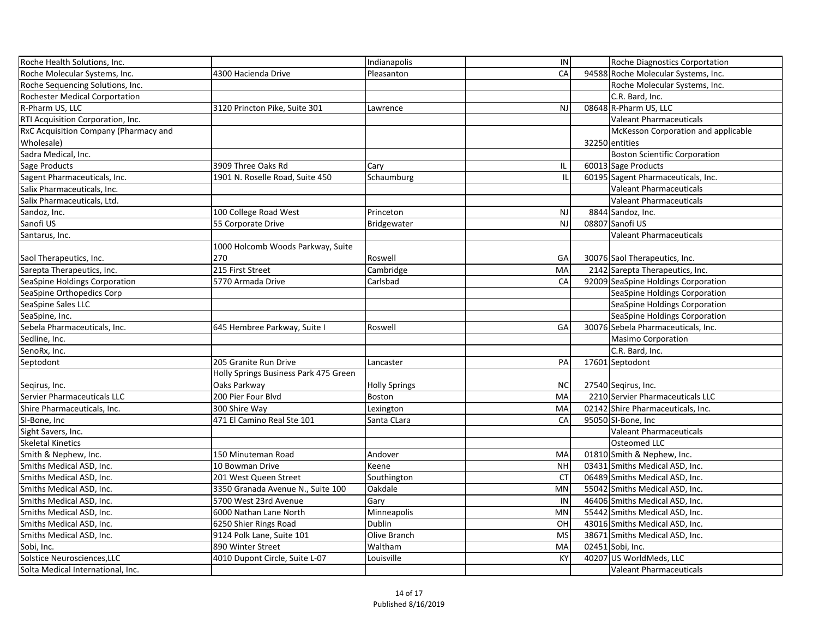| Roche Health Solutions, Inc.                 |                                       | Indianapolis         | IN        | Roche Diagnostics Corportation       |
|----------------------------------------------|---------------------------------------|----------------------|-----------|--------------------------------------|
| Roche Molecular Systems, Inc.                | 4300 Hacienda Drive                   | Pleasanton           | CA        | 94588 Roche Molecular Systems, Inc.  |
| Roche Sequencing Solutions, Inc.             |                                       |                      |           | Roche Molecular Systems, Inc.        |
| <b>Rochester Medical Corportation</b>        |                                       |                      |           | C.R. Bard, Inc.                      |
| R-Pharm US, LLC                              | 3120 Princton Pike, Suite 301         | Lawrence             | <b>NJ</b> | 08648 R-Pharm US, LLC                |
| RTI Acquisition Corporation, Inc.            |                                       |                      |           | Valeant Pharmaceuticals              |
| <b>RxC Acquisition Company (Pharmacy and</b> |                                       |                      |           | McKesson Corporation and applicable  |
| Wholesale)                                   |                                       |                      |           | 32250 entities                       |
| Sadra Medical, Inc.                          |                                       |                      |           | <b>Boston Scientific Corporation</b> |
| Sage Products                                | 3909 Three Oaks Rd                    | Cary                 | IL        | 60013 Sage Products                  |
| Sagent Pharmaceuticals, Inc.                 | 1901 N. Roselle Road, Suite 450       | Schaumburg           | Ш         | 60195 Sagent Pharmaceuticals, Inc.   |
| Salix Pharmaceuticals, Inc.                  |                                       |                      |           | <b>Valeant Pharmaceuticals</b>       |
| Salix Pharmaceuticals, Ltd.                  |                                       |                      |           | <b>Valeant Pharmaceuticals</b>       |
| Sandoz, Inc.                                 | 100 College Road West                 | Princeton            | <b>NJ</b> | 8844 Sandoz, Inc.                    |
| Sanofi US                                    | 55 Corporate Drive                    | Bridgewater          | <b>NJ</b> | 08807 Sanofi US                      |
| Santarus, Inc.                               |                                       |                      |           | Valeant Pharmaceuticals              |
|                                              | 1000 Holcomb Woods Parkway, Suite     |                      |           |                                      |
| Saol Therapeutics, Inc.                      | 270                                   | Roswell              | GA        | 30076 Saol Therapeutics, Inc.        |
| Sarepta Therapeutics, Inc.                   | 215 First Street                      | Cambridge            | MA        | 2142 Sarepta Therapeutics, Inc.      |
| SeaSpine Holdings Corporation                | 5770 Armada Drive                     | Carlsbad             | CA        | 92009 SeaSpine Holdings Corporation  |
| SeaSpine Orthopedics Corp                    |                                       |                      |           | SeaSpine Holdings Corporation        |
| SeaSpine Sales LLC                           |                                       |                      |           | SeaSpine Holdings Corporation        |
| SeaSpine, Inc.                               |                                       |                      |           | SeaSpine Holdings Corporation        |
| Sebela Pharmaceuticals, Inc.                 | 645 Hembree Parkway, Suite I          | Roswell              | GA        | 30076 Sebela Pharmaceuticals, Inc.   |
| Sedline, Inc.                                |                                       |                      |           | <b>Masimo Corporation</b>            |
| SenoRx, Inc.                                 |                                       |                      |           | C.R. Bard, Inc.                      |
| Septodont                                    | 205 Granite Run Drive                 | Lancaster            | PA        | 17601 Septodont                      |
|                                              | Holly Springs Business Park 475 Green |                      |           |                                      |
| Segirus, Inc.                                | Oaks Parkway                          | <b>Holly Springs</b> | <b>NC</b> | 27540 Seqirus, Inc.                  |
| Servier Pharmaceuticals LLC                  | 200 Pier Four Blvd                    | Boston               | <b>MA</b> | 2210 Servier Pharmaceuticals LLC     |
| Shire Pharmaceuticals, Inc.                  | 300 Shire Way                         | Lexington            | MA        | 02142 Shire Pharmaceuticals, Inc.    |
| SI-Bone, Inc                                 | 471 El Camino Real Ste 101            | Santa CLara          | CA        | 95050 SI-Bone, Inc.                  |
| Sight Savers, Inc.                           |                                       |                      |           | <b>Valeant Pharmaceuticals</b>       |
| <b>Skeletal Kinetics</b>                     |                                       |                      |           | <b>Osteomed LLC</b>                  |
| Smith & Nephew, Inc.                         | 150 Minuteman Road                    | Andover              | MA        | 01810 Smith & Nephew, Inc.           |
| Smiths Medical ASD, Inc.                     | 10 Bowman Drive                       | Keene                | <b>NH</b> | 03431 Smiths Medical ASD, Inc.       |
| Smiths Medical ASD, Inc.                     | 201 West Queen Street                 | Southington          | <b>CT</b> | 06489 Smiths Medical ASD, Inc.       |
| Smiths Medical ASD, Inc.                     | 3350 Granada Avenue N., Suite 100     | Oakdale              | <b>MN</b> | 55042 Smiths Medical ASD, Inc.       |
| Smiths Medical ASD, Inc.                     | 5700 West 23rd Avenue                 | Gary                 | IN        | 46406 Smiths Medical ASD, Inc.       |
| Smiths Medical ASD, Inc.                     | 6000 Nathan Lane North                | Minneapolis          | <b>MN</b> | 55442 Smiths Medical ASD, Inc.       |
| Smiths Medical ASD, Inc.                     | 6250 Shier Rings Road                 | Dublin               | OH        | 43016 Smiths Medical ASD, Inc.       |
| Smiths Medical ASD, Inc.                     | 9124 Polk Lane, Suite 101             | Olive Branch         | <b>MS</b> | 38671 Smiths Medical ASD, Inc.       |
| Sobi, Inc.                                   | 890 Winter Street                     | Waltham              | MA        | 02451 Sobi, Inc.                     |
| Solstice Neurosciences, LLC                  | 4010 Dupont Circle, Suite L-07        | Louisville           | KY        | 40207 US WorldMeds, LLC              |
| Solta Medical International, Inc.            |                                       |                      |           | Valeant Pharmaceuticals              |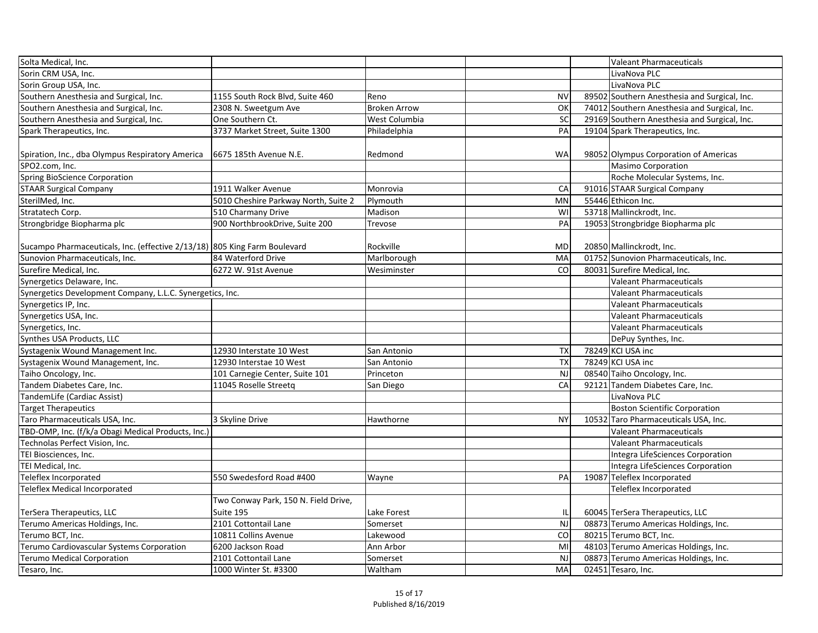| Solta Medical, Inc.                                                       |                                      |                      |           | <b>Valeant Pharmaceuticals</b>               |
|---------------------------------------------------------------------------|--------------------------------------|----------------------|-----------|----------------------------------------------|
| Sorin CRM USA, Inc.                                                       |                                      |                      |           | LivaNova PLC                                 |
| Sorin Group USA, Inc.                                                     |                                      |                      |           | LivaNova PLC                                 |
| Southern Anesthesia and Surgical, Inc.                                    | 1155 South Rock Blvd, Suite 460      | Reno                 | <b>NV</b> | 89502 Southern Anesthesia and Surgical, Inc. |
| Southern Anesthesia and Surgical, Inc.                                    | 2308 N. Sweetgum Ave                 | <b>Broken Arrow</b>  | OK        | 74012 Southern Anesthesia and Surgical, Inc. |
| Southern Anesthesia and Surgical, Inc.                                    | One Southern Ct.                     | <b>West Columbia</b> | SC        | 29169 Southern Anesthesia and Surgical, Inc. |
| Spark Therapeutics, Inc.                                                  | 3737 Market Street, Suite 1300       | Philadelphia         | PA        | 19104 Spark Therapeutics, Inc.               |
|                                                                           |                                      |                      |           |                                              |
| Spiration, Inc., dba Olympus Respiratory America                          | 6675 185th Avenue N.E.               | Redmond              | <b>WA</b> | 98052 Olympus Corporation of Americas        |
| SPO2.com, Inc.                                                            |                                      |                      |           | <b>Masimo Corporation</b>                    |
| Spring BioScience Corporation                                             |                                      |                      |           | Roche Molecular Systems, Inc.                |
| <b>STAAR Surgical Company</b>                                             | 1911 Walker Avenue                   | Monrovia             | CA        | 91016 STAAR Surgical Company                 |
| SterilMed, Inc.                                                           | 5010 Cheshire Parkway North, Suite 2 | Plymouth             | <b>MN</b> | 55446 Ethicon Inc.                           |
| Stratatech Corp.                                                          | 510 Charmany Drive                   | Madison              | WI        | 53718 Mallinckrodt, Inc.                     |
| Strongbridge Biopharma plc                                                | 900 NorthbrookDrive, Suite 200       | <b>Trevose</b>       | PA        | 19053 Strongbridge Biopharma plc             |
|                                                                           |                                      |                      |           |                                              |
| Sucampo Pharmaceuticals, Inc. (effective 2/13/18) 805 King Farm Boulevard |                                      | Rockville            | <b>MD</b> | 20850 Mallinckrodt, Inc.                     |
| Sunovion Pharmaceuticals, Inc.                                            | 84 Waterford Drive                   | Marlborough          | MA        | 01752 Sunovion Pharmaceuticals, Inc.         |
| Surefire Medical, Inc.                                                    | 6272 W. 91st Avenue                  | Wesiminster          | CO        | 80031 Surefire Medical, Inc.                 |
| Synergetics Delaware, Inc.                                                |                                      |                      |           | <b>Valeant Pharmaceuticals</b>               |
| Synergetics Development Company, L.L.C. Synergetics, Inc.                 |                                      |                      |           | <b>Valeant Pharmaceuticals</b>               |
| Synergetics IP, Inc.                                                      |                                      |                      |           | <b>Valeant Pharmaceuticals</b>               |
| Synergetics USA, Inc.                                                     |                                      |                      |           | <b>Valeant Pharmaceuticals</b>               |
| Synergetics, Inc.                                                         |                                      |                      |           | <b>Valeant Pharmaceuticals</b>               |
| Synthes USA Products, LLC                                                 |                                      |                      |           | DePuy Synthes, Inc.                          |
| Systagenix Wound Management Inc.                                          | 12930 Interstate 10 West             | San Antonio          | <b>TX</b> | 78249 KCI USA inc                            |
| Systagenix Wound Management, Inc.                                         | 12930 Interstae 10 West              | San Antonio          | <b>TX</b> | 78249 KCI USA inc                            |
| Taiho Oncology, Inc.                                                      | 101 Carnegie Center, Suite 101       | Princeton            | <b>NJ</b> | 08540 Taiho Oncology, Inc.                   |
| Tandem Diabetes Care, Inc.                                                | 11045 Roselle Streetq                | San Diego            | CA        | 92121 Tandem Diabetes Care, Inc.             |
| TandemLife (Cardiac Assist)                                               |                                      |                      |           | LivaNova PLC                                 |
| <b>Target Therapeutics</b>                                                |                                      |                      |           | <b>Boston Scientific Corporation</b>         |
| Taro Pharmaceuticals USA, Inc.                                            | 3 Skyline Drive                      | Hawthorne            | <b>NY</b> | 10532 Taro Pharmaceuticals USA, Inc.         |
| TBD-OMP, Inc. (f/k/a Obagi Medical Products, Inc.)                        |                                      |                      |           | <b>Valeant Pharmaceuticals</b>               |
| Technolas Perfect Vision, Inc.                                            |                                      |                      |           | <b>Valeant Pharmaceuticals</b>               |
| TEI Biosciences, Inc.                                                     |                                      |                      |           | <b>Integra LifeSciences Corporation</b>      |
| TEI Medical, Inc.                                                         |                                      |                      |           | Integra LifeSciences Corporation             |
| Teleflex Incorporated                                                     | 550 Swedesford Road #400             | Wayne                | PA        | 19087 Teleflex Incorporated                  |
| <b>Teleflex Medical Incorporated</b>                                      |                                      |                      |           | Teleflex Incorporated                        |
|                                                                           | Two Conway Park, 150 N. Field Drive, |                      |           |                                              |
| <b>TerSera Therapeutics, LLC</b>                                          | Suite 195                            | Lake Forest          |           | 60045 TerSera Therapeutics, LLC              |
| Terumo Americas Holdings, Inc.                                            | 2101 Cottontail Lane                 | Somerset             | NJ        | 08873 Terumo Americas Holdings, Inc.         |
| Terumo BCT, Inc.                                                          | 10811 Collins Avenue                 | Lakewood             | CO        | 80215 Terumo BCT, Inc.                       |
| Terumo Cardiovascular Systems Corporation                                 | 6200 Jackson Road                    | Ann Arbor            | MI        | 48103 Terumo Americas Holdings, Inc.         |
| <b>Terumo Medical Corporation</b>                                         | 2101 Cottontail Lane                 | Somerset             | <b>NJ</b> | 08873 Terumo Americas Holdings, Inc.         |
| Tesaro, Inc.                                                              | 1000 Winter St. #3300                | Waltham              | MA        | 02451 Tesaro, Inc.                           |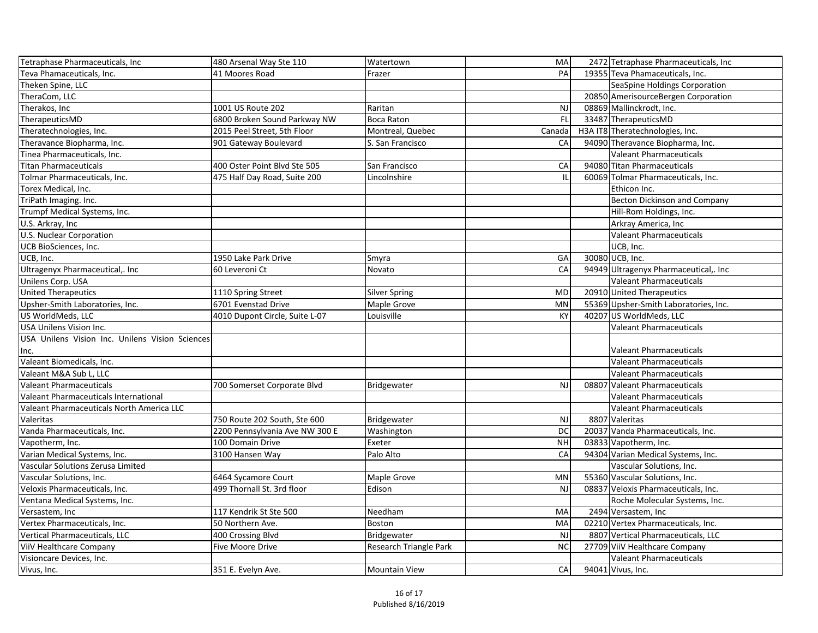| Tetraphase Pharmaceuticals, Inc                 | 480 Arsenal Way Ste 110        | Watertown              | MA        | 2472 Tetraphase Pharmaceuticals, Inc  |
|-------------------------------------------------|--------------------------------|------------------------|-----------|---------------------------------------|
| Teva Phamaceuticals, Inc.                       | 41 Moores Road                 | Frazer                 | PA        | 19355 Teva Phamaceuticals, Inc.       |
| Theken Spine, LLC                               |                                |                        |           | SeaSpine Holdings Corporation         |
| TheraCom, LLC                                   |                                |                        |           | 20850 AmerisourceBergen Corporation   |
| Therakos, Inc                                   | 1001 US Route 202              | Raritan                | <b>NJ</b> | 08869 Mallinckrodt, Inc.              |
| TherapeuticsMD                                  | 6800 Broken Sound Parkway NW   | <b>Boca Raton</b>      | FL        | 33487 TherapeuticsMD                  |
| Theratechnologies, Inc.                         | 2015 Peel Street, 5th Floor    | Montreal, Quebec       | Canada    | H3A IT8 Theratechnologies, Inc.       |
| Theravance Biopharma, Inc.                      | 901 Gateway Boulevard          | S. San Francisco       | CA        | 94090 Theravance Biopharma, Inc.      |
| Tinea Pharmaceuticals, Inc.                     |                                |                        |           | <b>Valeant Pharmaceuticals</b>        |
| <b>Titan Pharmaceuticals</b>                    | 400 Oster Point Blvd Ste 505   | San Francisco          | CA        | 94080 Titan Pharmaceuticals           |
| Tolmar Pharmaceuticals, Inc.                    | 475 Half Day Road, Suite 200   | Lincolnshire           |           | 60069 Tolmar Pharmaceuticals, Inc.    |
| Torex Medical, Inc.                             |                                |                        |           | Ethicon Inc.                          |
| TriPath Imaging. Inc.                           |                                |                        |           | Becton Dickinson and Company          |
| Trumpf Medical Systems, Inc.                    |                                |                        |           | Hill-Rom Holdings, Inc.               |
| U.S. Arkray, Inc.                               |                                |                        |           | Arkray America, Inc                   |
| U.S. Nuclear Corporation                        |                                |                        |           | <b>Valeant Pharmaceuticals</b>        |
| <b>UCB BioSciences, Inc.</b>                    |                                |                        |           | UCB, Inc.                             |
| UCB, Inc.                                       | 1950 Lake Park Drive           | Smyra                  | GA        | 30080 UCB, Inc.                       |
| Ultragenyx Pharmaceutical,. Inc                 | 60 Leveroni Ct                 | Novato                 | CA        | 94949 Ultragenyx Pharmaceutical,. Inc |
| Unilens Corp. USA                               |                                |                        |           | <b>Valeant Pharmaceuticals</b>        |
| United Therapeutics                             | 1110 Spring Street             | <b>Silver Spring</b>   | <b>MD</b> | 20910 United Therapeutics             |
| Upsher-Smith Laboratories, Inc.                 | 6701 Evenstad Drive            | Maple Grove            | <b>MN</b> | 55369 Upsher-Smith Laboratories, Inc. |
| US WorldMeds, LLC                               | 4010 Dupont Circle, Suite L-07 | Louisville             | <b>KY</b> | 40207 US WorldMeds, LLC               |
| <b>USA Unilens Vision Inc.</b>                  |                                |                        |           | <b>Valeant Pharmaceuticals</b>        |
| USA Unilens Vision Inc. Unilens Vision Sciences |                                |                        |           |                                       |
| Inc.                                            |                                |                        |           | <b>Valeant Pharmaceuticals</b>        |
| Valeant Biomedicals, Inc.                       |                                |                        |           | <b>Valeant Pharmaceuticals</b>        |
| Valeant M&A Sub L, LLC                          |                                |                        |           | <b>Valeant Pharmaceuticals</b>        |
| Valeant Pharmaceuticals                         | 700 Somerset Corporate Blvd    | Bridgewater            | <b>NJ</b> | 08807 Valeant Pharmaceuticals         |
| Valeant Pharmaceuticals International           |                                |                        |           | Valeant Pharmaceuticals               |
| Valeant Pharmaceuticals North America LLC       |                                |                        |           | <b>Valeant Pharmaceuticals</b>        |
| Valeritas                                       | 750 Route 202 South, Ste 600   | Bridgewater            | <b>NJ</b> | 8807 Valeritas                        |
| Vanda Pharmaceuticals, Inc.                     | 2200 Pennsylvania Ave NW 300 E | Washington             | DC        | 20037 Vanda Pharmaceuticals, Inc.     |
| Vapotherm, Inc.                                 | 100 Domain Drive               | Exeter                 | <b>NH</b> | 03833 Vapotherm, Inc.                 |
| Varian Medical Systems, Inc.                    | 3100 Hansen Way                | Palo Alto              | CA        | 94304 Varian Medical Systems, Inc.    |
| Vascular Solutions Zerusa Limited               |                                |                        |           | Vascular Solutions, Inc.              |
| Vascular Solutions, Inc.                        | 6464 Sycamore Court            | Maple Grove            | <b>MN</b> | 55360 Vascular Solutions, Inc.        |
| Veloxis Pharmaceuticals, Inc.                   | 499 Thornall St. 3rd floor     | Edison                 | <b>NJ</b> | 08837 Veloxis Pharmaceuticals, Inc.   |
| Ventana Medical Systems, Inc.                   |                                |                        |           | Roche Molecular Systems, Inc.         |
| Versastem, Inc.                                 | 117 Kendrik St Ste 500         | Needham                | MA        | 2494 Versastem, Inc                   |
| Vertex Pharmaceuticals, Inc.                    | 50 Northern Ave.               | <b>Boston</b>          | MA        | 02210 Vertex Pharmaceuticals, Inc.    |
| Vertical Pharmaceuticals, LLC                   | 400 Crossing Blvd              | Bridgewater            | NJ        | 8807 Vertical Pharmaceuticals, LLC    |
| ViiV Healthcare Company                         | Five Moore Drive               | Research Triangle Park | <b>NC</b> | 27709 ViiV Healthcare Company         |
| Visioncare Devices, Inc.                        |                                |                        |           | <b>Valeant Pharmaceuticals</b>        |
| Vivus, Inc.                                     | 351 E. Evelyn Ave.             | <b>Mountain View</b>   | CA        | 94041 Vivus, Inc.                     |